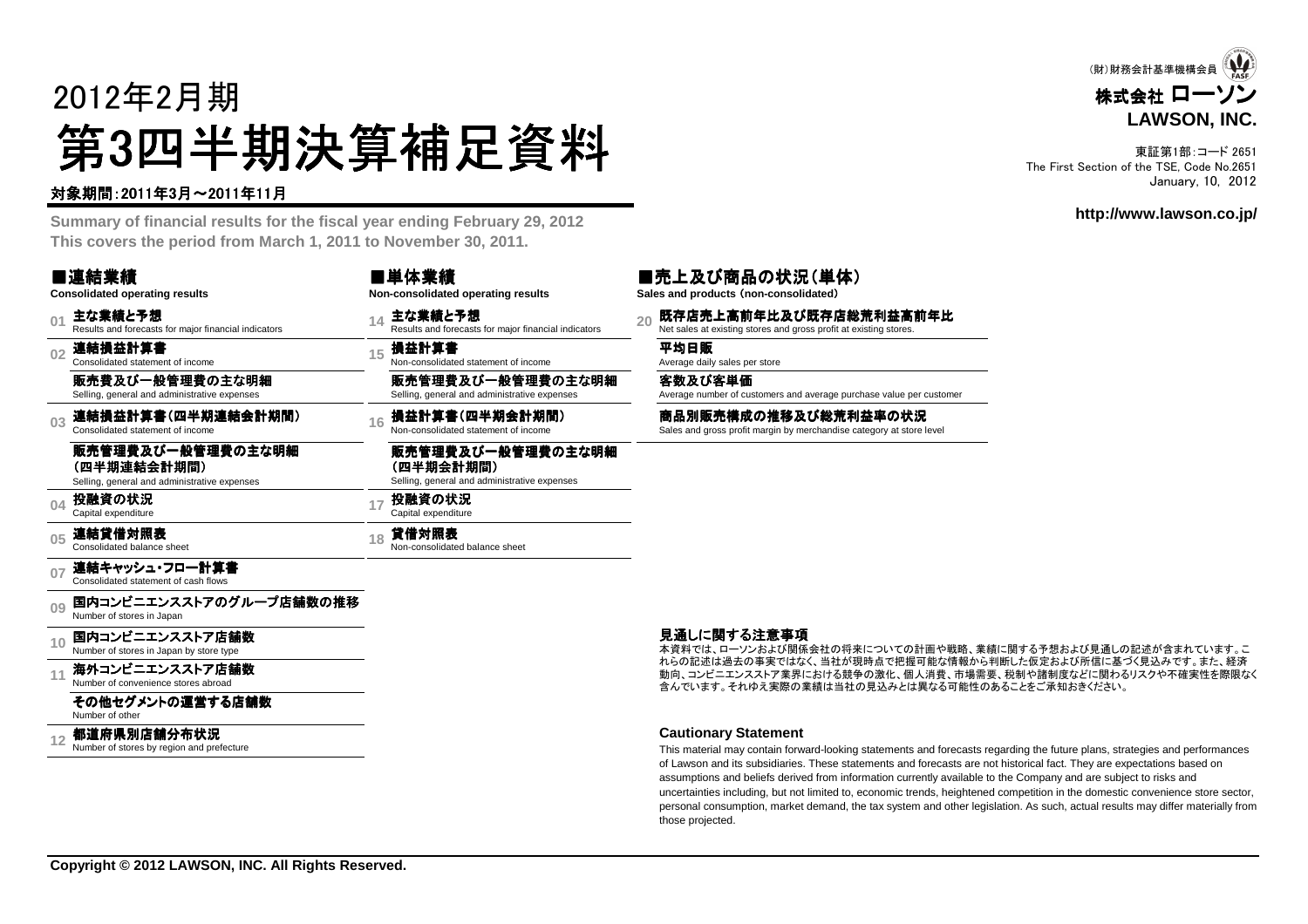# 2012年2月期第3四半期決算補足資料<br><del>"卿恩"的</del>

### 対象期間:2011年3月~2011年11月

 **Summary of financial results for the fiscal year ending February 29, 2012This covers the period from March 1, 2011 to November 30, 2011.**

#### ■連結業績**Consolidated operating results**

**01**主な業績と予想<br>Results and forecasts for major financial indicators

**02**連結損益計算書 Consolidated statement of income

販売費及び一般管理費の主な明細Selling, general and administrative expenses

**03**連結損益計算書(四半期連結会計期間 (四半期連結会計期間) Consolidated statement of income

### 販売管理費及び一般管理費の主な明細

**(四半期連結会計期間)**<br>Selling. general and administrat Selling, general and administrative expenses

**04**投融資の状況<br><sub>Capital expenditure</sub>

**05**連結貸借対照表<br>Consolidated balance sheet

**07**連結キャッシュ・フロー計算書 Consolidated statement of cash flows

**09**国内コンビニエンスストアのグループ店舗数の推移<br>Number of stores in Japan

**10**国内コンビニエンスストア店舗数<br>Number of stores in Japan by store type

**11**海外コンビニエンスストア店舗数<br>Number of convenience stores abroad

#### その他セグメントの運営する店舗数

Number of other

#### **12**都道府県別店舗分布状況<br>Number of stores by region and prefecture

| ■単体業績                              | ■売.     |
|------------------------------------|---------|
| Non-consolidated operating results | Sales a |
| 11 主な業績と予想                         | 灬 既     |

**<sup>15</sup>** 損益計算書 Non-consolidated statement of income 平均日販 Average daily sales per store

販売管理費及び一般管理費の主な明細Selling, general and administrative expenses

1**6 損益計算書(四半期会計期間) 商品別販売構成の推移及び総荒利益率の状況**<br>Non-consolidated statement of income Sales and gross profit margin by merchandise category at store level

#### 販売管理費及び一般管理費の主な明細**(四半期会計期間)**<br><sup>Selling, general and adm</sup> Selling, general and administrative expenses

**<sup>17</sup>** 投融資の状況 Capital expenditure

**<sup>18</sup>** 貸借対照表 Non-consolidated balance sheet

#### 見通しに関する注意事項

本資料では、ローソンおよび関係会社の将来についての計画や戦略、業績に関する予想および見通しの記述が含まれています。こ れらの記述は過去の事実ではなく、当社が現時点で把握可能な情報から判断した仮定および所信に基づく見込みです。また、経済 動向、コンビニエンスストア業界における競争の激化、個人消費、市場需要、税制や諸制度などに関わるリスクや不確実性を際限なく含んでいます。それゆえ実際の業績は当社の見込みとは異なる可能性のあることをご承知おきください。

#### **Cautionary Statement**

 This material may contain forward-looking statements and forecasts regarding the future plans, strategies and performancesof Lawson and its subsidiaries. These statements and forecasts are not historical fact. They are expectations based onassumptions and beliefs derived from information currently available to the Company and are subject to risks and uncertainties including, but not limited to, economic trends, heightened competition in the domestic convenience store sector, personal consumption, market demand, the tax system and other legislation. As such, actual results may differ materially fromthose projected.

■売上及び商品の状況(単体)**Sales and products** (**non-consolidated**)

**<sup>14</sup>** 主な業績と予想 Results and forecasts for major financial indicators **<sup>20</sup>** 既存店売上高前年比及び既存店総荒利益高前年比 び既存店総荒利益高前年比 Net sales at existing stores and gross profit at existing stores.

客数及び客単価

Average number of customers and average purchase value per customer



東証第1部:コード 2651 The First Section of the TSE, Code No.2651January, 10, 2012

**http://www.lawson.co.jp/**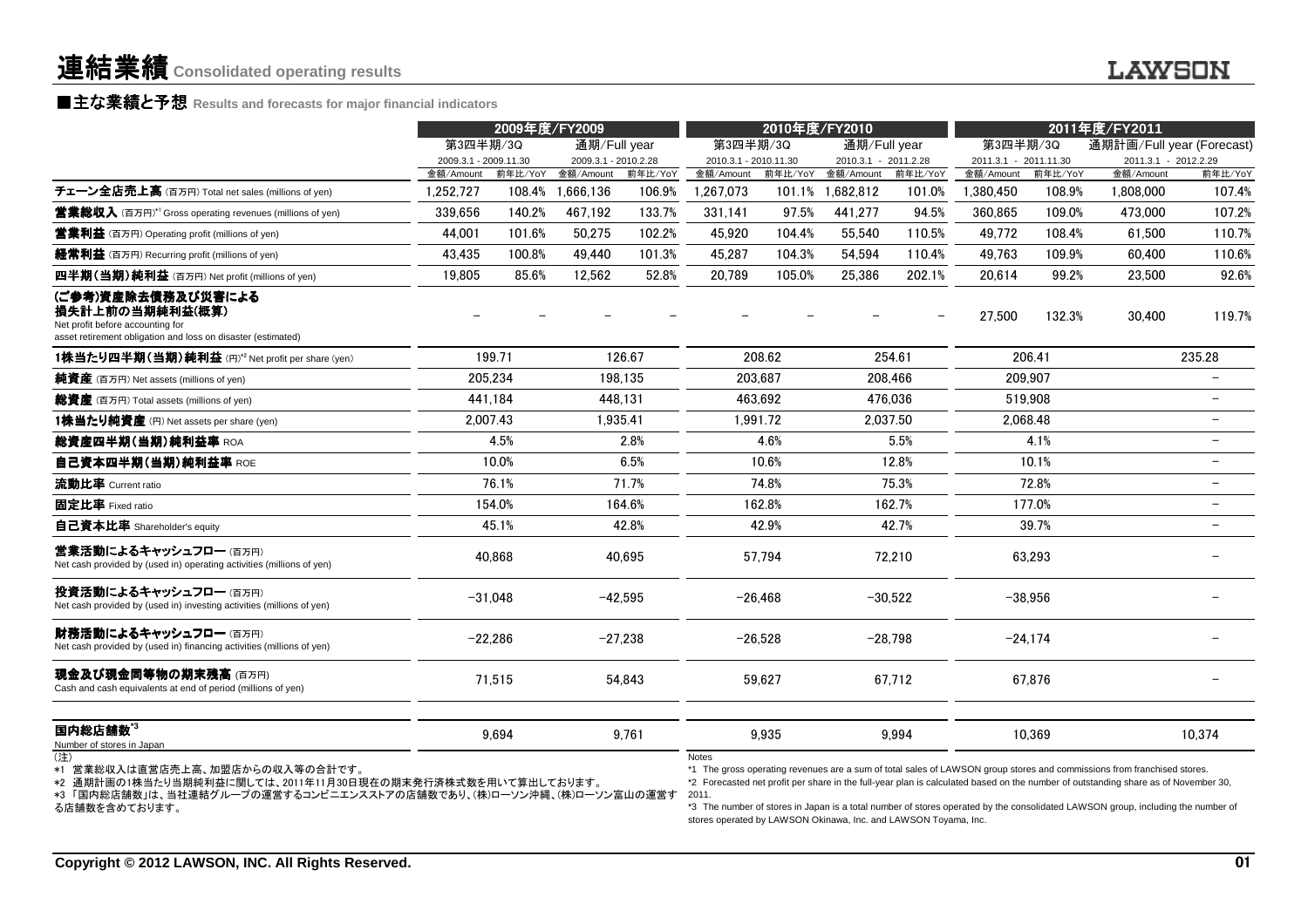### **■主な業績と予想** Results and forecasts for major financial indicators<br>————————————————————

|                                                                                                                                           |                       | 2009年度/FY2009 |                      |           |                       | 2010年度/FY2010 |                      |           |                       |           | 2011年度/FY2011             |         |
|-------------------------------------------------------------------------------------------------------------------------------------------|-----------------------|---------------|----------------------|-----------|-----------------------|---------------|----------------------|-----------|-----------------------|-----------|---------------------------|---------|
|                                                                                                                                           | 第3四半期/3Q              |               | 通期/Full year         |           | 第3四半期/3Q              |               | 通期/Full year         |           | 第3四半期/3Q              |           | 通期計画/Full year (Forecast) |         |
|                                                                                                                                           | 2009.3.1 - 2009.11.30 |               | 2009.3.1 - 2010.2.28 |           | 2010.3.1 - 2010.11.30 |               | 2010.3.1 - 2011.2.28 |           | 2011.3.1 - 2011.11.30 |           | 2011.3.1 - 2012.2.29      |         |
|                                                                                                                                           | 金額/Amount             |               | 前年比/YoY 金額/Amount    | 前年比/YoY   | 金額/Amount             | 前年比/YoY       | 金額/Amount            | 前年比/YoY   | 金額/Amount             | 前年比/YoY   | 金額/Amount                 | 前年比/YoY |
| チェーン全店売上高 (百万円) Total net sales (millions of yen)                                                                                         | 1.252.727             | 108.4%        | 1.666.136            | 106.9%    | 1.267.073             | 101.1%        | 1.682.812            | 101.0%    | 1,380,450             | 108.9%    | 1.808.000                 | 107.4%  |
| <b>営業総収入</b> (百万円)*1 Gross operating revenues (millions of yen)                                                                           | 339,656               | 140.2%        | 467,192              | 133.7%    | 331,141               | 97.5%         | 441,277              | 94.5%     | 360,865               | 109.0%    | 473,000                   | 107.2%  |
| <b>営業利益</b> (百万円) Operating profit (millions of yen)                                                                                      | 44.001                | 101.6%        | 50.275               | 102.2%    | 45.920                | 104.4%        | 55.540               | 110.5%    | 49.772                | 108.4%    | 61.500                    | 110.7%  |
| <b>経常利益</b> (百万円) Recurring profit (millions of yen)                                                                                      | 43,435                | 100.8%        | 49,440               | 101.3%    | 45,287                | 104.3%        | 54,594               | 110.4%    | 49.763                | 109.9%    | 60.400                    | 110.6%  |
| 四半期(当期)純利益 (百万円) Net profit (millions of yen)                                                                                             | 19,805                | 85.6%         | 12,562               | 52.8%     | 20,789                | 105.0%        | 25,386               | 202.1%    | 20.614                | 99.2%     | 23,500                    | 92.6%   |
| (ご参考)資産除去債務及び災害による<br>損失計上前の当期純利益(概算)<br>Net profit before accounting for<br>asset retirement obligation and loss on disaster (estimated) |                       |               |                      |           |                       |               |                      |           | 27.500                | 132.3%    | 30,400                    | 119.7%  |
| 1株当たり四半期(当期)純利益(円)*2 Net profit per share (yen)                                                                                           |                       | 199.71        |                      | 126.67    |                       | 208.62        |                      | 254.61    |                       | 206.41    |                           | 235.28  |
| <b>純資産</b> (百万円) Net assets (millions of yen)                                                                                             |                       | 205,234       |                      | 198.135   |                       | 203.687       |                      | 208,466   |                       | 209,907   |                           |         |
| <b>総資産</b> (百万円) Total assets (millions of yen)                                                                                           |                       | 441,184       |                      | 448.131   |                       | 463.692       |                      | 476,036   |                       | 519.908   |                           |         |
| 1株当たり純資産 (円) Net assets per share (yen)                                                                                                   |                       | 2,007.43      |                      | 1,935.41  |                       | 1.991.72      |                      | 2.037.50  | 2.068.48              |           |                           |         |
| 総資産四半期(当期)純利益率 ROA                                                                                                                        |                       | 4.5%          |                      | 2.8%      |                       | 4.6%          |                      | 5.5%      |                       | 4.1%      |                           |         |
| 自己資本四半期(当期)純利益率 ROE                                                                                                                       |                       | 10.0%         |                      | 6.5%      |                       | 10.6%         |                      | 12.8%     |                       | 10.1%     |                           |         |
| 流動比率 Current ratio                                                                                                                        |                       | 76.1%         |                      | 71.7%     |                       | 74.8%         |                      | 75.3%     |                       | 72.8%     |                           |         |
| 固定比率 Fixed ratio                                                                                                                          |                       | 154.0%        |                      | 164.6%    |                       | 162.8%        |                      | 162.7%    |                       | 177.0%    |                           |         |
| 自己資本比率 Shareholder's equity                                                                                                               |                       | 45.1%         |                      | 42.8%     |                       | 42.9%         |                      | 42.7%     |                       | 39.7%     |                           |         |
| 営業活動によるキャッシュフロー(百万円)<br>Net cash provided by (used in) operating activities (millions of yen)                                             |                       | 40,868        |                      | 40,695    |                       | 57,794        |                      | 72,210    |                       | 63,293    |                           |         |
| 投資活動によるキャッシュフロー (百万円)<br>Net cash provided by (used in) investing activities (millions of yen)                                            |                       | $-31.048$     |                      | $-42.595$ |                       | $-26.468$     |                      | $-30,522$ |                       | $-38.956$ |                           |         |
| 財務活動によるキャッシュフロー (百万円)<br>Net cash provided by (used in) financing activities (millions of yen)                                            |                       | $-22,286$     |                      | $-27,238$ |                       | $-26,528$     |                      | $-28,798$ |                       | $-24,174$ |                           |         |
| 現金及び現金同等物の期末残高 (百万円)<br>Cash and cash equivalents at end of period (millions of yen)                                                      |                       | 71.515        |                      | 54,843    |                       | 59,627        |                      | 67.712    |                       | 67.876    |                           |         |
|                                                                                                                                           |                       |               |                      |           |                       |               |                      |           |                       |           |                           |         |
| 国内総店舗数 $^{\rm 3}$<br>Number of stores in Japan                                                                                            |                       | 9,694         |                      | 9.761     |                       | 9,935         |                      | 9.994     |                       | 10.369    |                           | 10.374  |

\*1 営業総収入は直営店売上高、加盟店からの収入等の合計です。

\*2 通期計画の1株当たり当期純利益に関しては、2011年11月30日現在の期末発行済株式数を用いて算出しております。

 \*3 「国内総店舗数」は、当社連結グループの運営するコンビニエンスストアの店舗数であり、(株)ローソン沖縄、(株)ローソン富山の運営する店舗数を含めております。

Notes

 \*1 The gross operating revenues are a sum of total sales of LAWSON group stores and commissions from franchised stores. \*2 Forecasted net profit per share in the full-year plan is calculated based on the number of outstanding share as of November 30, 2011.

 \*3 The number of stores in Japan is a total number of stores operated by the consolidated LAWSON group, including the number of stores operated by LAWSON Okinawa, Inc. and LAWSON Toyama, Inc.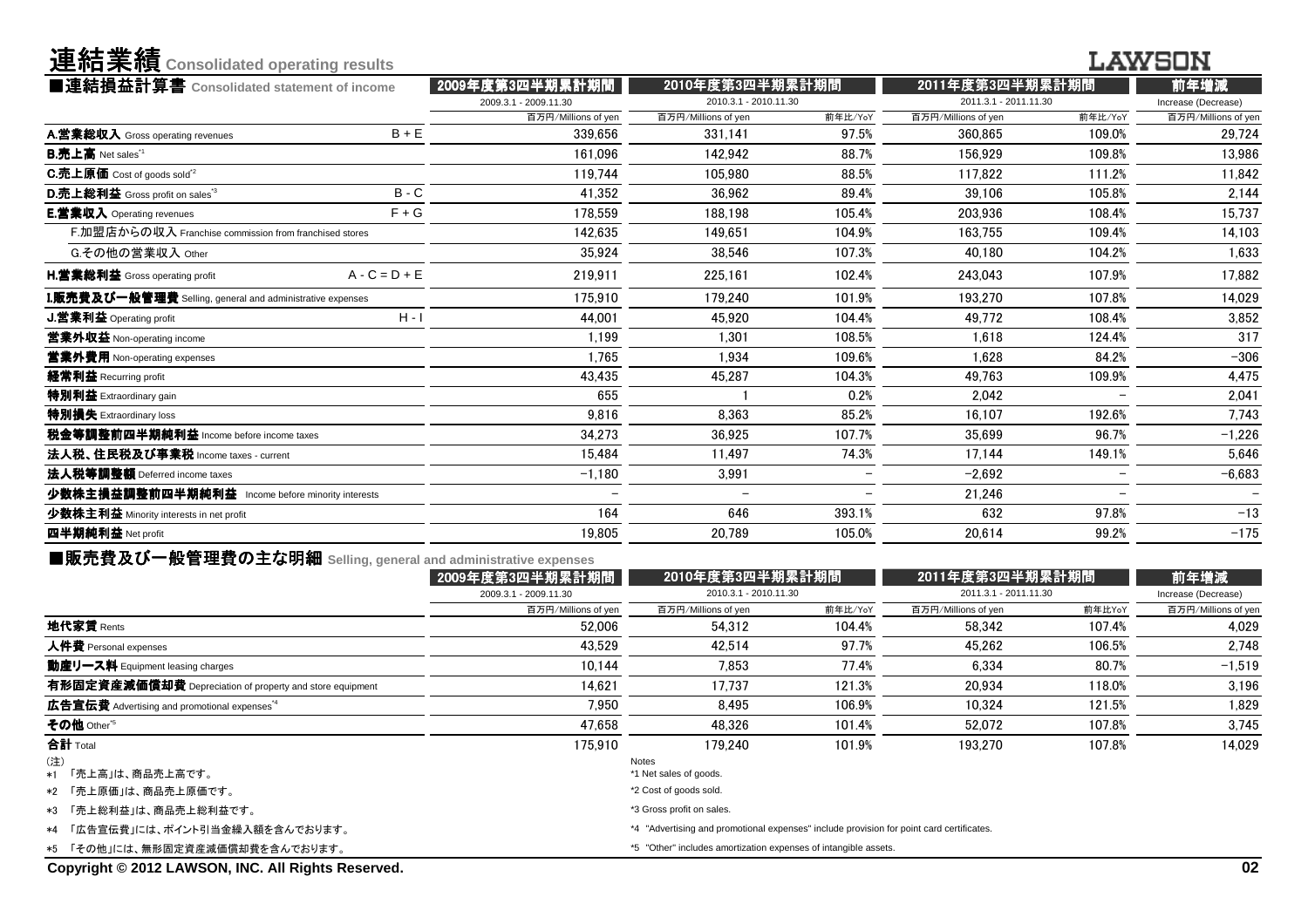| 連結業績 Consolidated operating results                       |                 |                          |                          |                          |                       |                          | LAWSON              |
|-----------------------------------------------------------|-----------------|--------------------------|--------------------------|--------------------------|-----------------------|--------------------------|---------------------|
| ■連結損益計算書 Consolidated statement of income                 |                 | 2009年度第3四半期累計期間          | 2010年度第3四半期累計期間          |                          | 2011年度第3四半期累計期        |                          | 前年増減                |
|                                                           |                 | 2009.3.1 - 2009.11.30    | 2010.3.1 - 2010.11.30    |                          | 2011.3.1 - 2011.11.30 |                          | Increase (Decrease) |
|                                                           |                 | 百万円/Millions of yen      | 百万円/Millions of yen      | 前年比/YoY                  | 百万円/Millions of yen   | 前年比/YoY                  | 百万円/Millions of yen |
| A.営業総収入 Gross operating revenues                          | $B + E$         | 339,656                  | 331.141                  | 97.5%                    | 360,865               | 109.0%                   | 29,724              |
| <b>B.売上高</b> Net sales <sup>*1</sup>                      |                 | 161,096                  | 142.942                  | 88.7%                    | 156.929               | 109.8%                   | 13,986              |
| <b>C.売上原価</b> Cost of goods sold <sup>"2</sup>            |                 | 119.744                  | 105.980                  | 88.5%                    | 117.822               | 111.2%                   | 11,842              |
| D.売上総利益 Gross profit on sales <sup>"3</sup>               | $B - C$         | 41.352                   | 36.962                   | 89.4%                    | 39.106                | 105.8%                   | 2,144               |
| E.営業収入 Operating revenues                                 | $F + G$         | 178,559                  | 188.198                  | 105.4%                   | 203,936               | 108.4%                   | 15,737              |
| F.加盟店からの収入 Franchise commission from franchised stores    |                 | 142.635                  | 149.651                  | 104.9%                   | 163.755               | 109.4%                   | 14,103              |
| G.その他の営業収入 Other                                          |                 | 35.924                   | 38.546                   | 107.3%                   | 40.180                | 104.2%                   | 1,633               |
| <b>H.営業総利益</b> Gross operating profit                     | $A - C = D + E$ | 219.911                  | 225.161                  | 102.4%                   | 243.043               | 107.9%                   | 17.882              |
| I.販売費及び一般管理費 Selling, general and administrative expenses |                 | 175.910                  | 179.240                  | 101.9%                   | 193.270               | 107.8%                   | 14,029              |
| J.営業利益 Operating profit                                   | $H - I$         | 44.001                   | 45.920                   | 104.4%                   | 49.772                | 108.4%                   | 3,852               |
| 営業外収益 Non-operating income                                |                 | 1.199                    | 1.301                    | 108.5%                   | 1.618                 | 124.4%                   | 317                 |
| 営業外費用 Non-operating expenses                              |                 | 1,765                    | 1.934                    | 109.6%                   | 1.628                 | 84.2%                    | $-306$              |
| 経常利益 Recurring profit                                     |                 | 43.435                   | 45.287                   | 104.3%                   | 49.763                | 109.9%                   | 4,475               |
| 特別利益 Extraordinary gain                                   |                 | 655                      |                          | 0.2%                     | 2.042                 |                          | 2,041               |
| 特別損失 Extraordinary loss                                   |                 | 9.816                    | 8.363                    | 85.2%                    | 16.107                | 192.6%                   | 7,743               |
| 税金等調整前四半期純利益 Income before income taxes                   |                 | 34.273                   | 36.925                   | 107.7%                   | 35.699                | 96.7%                    | $-1,226$            |
| 法人税、住民税及び事業税 Income taxes - current                       |                 | 15.484                   | 11,497                   | 74.3%                    | 17.144                | 149.1%                   | 5,646               |
| 法人税等調整額 Deferred income taxes                             |                 | $-1.180$                 | 3.991                    | $\overline{\phantom{0}}$ | $-2.692$              | $\overline{\phantom{0}}$ | $-6,683$            |
| 少数株主損益調整前四半期純利益 Income before minority interests          |                 | $\overline{\phantom{0}}$ | $\overline{\phantom{0}}$ |                          | 21.246                | $\overline{\phantom{0}}$ |                     |
| 少数株主利益 Minority interests in net profit                   |                 | 164                      | 646                      | 393.1%                   | 632                   | 97.8%                    | $-13$               |
| 四半期純利益 Net profit                                         |                 | 19.805                   | 20.789                   | 105.0%                   | 20.614                | 99.2%                    | $-175$              |
|                                                           |                 |                          |                          |                          |                       |                          |                     |

| ■販売費及び一般管理費の主な明細 Selling, general and administrative expenses |                           |                                 |                                          |                                                                                                                                                             |                                          |
|---------------------------------------------------------------|---------------------------|---------------------------------|------------------------------------------|-------------------------------------------------------------------------------------------------------------------------------------------------------------|------------------------------------------|
| 2009年度第3四半期累計期間                                               |                           |                                 |                                          |                                                                                                                                                             | 前年増減                                     |
| 2009.3.1 - 2009.11.30                                         |                           |                                 |                                          |                                                                                                                                                             | Increase (Decrease)                      |
| 百万円/Millions of yen                                           | 百万円/Millions of yen       | 前年比/YoY                         | 百万円/Millions of yen                      | 前年比YoY                                                                                                                                                      | 百万円/Millions of yen                      |
| 52.006                                                        | 54.312                    | 104.4%                          | 58.342                                   | 107.4%                                                                                                                                                      | 4.029                                    |
| 43.529                                                        | 42.514                    | 97.7%                           | 45.262                                   | 106.5%                                                                                                                                                      | 2.748                                    |
| 10.144                                                        | 7.853                     | 77.4%                           | 6.334                                    | 80.7%                                                                                                                                                       | $-1,519$                                 |
| 14.621                                                        | 17.737                    | 121.3%                          | 20,934                                   | 118.0%                                                                                                                                                      | 3,196                                    |
| 7.950                                                         | 8.495                     | 106.9%                          | 10.324                                   | 121.5%                                                                                                                                                      | 1,829                                    |
| 47.658                                                        | 48.326                    | 101.4%                          | 52.072                                   | 107.8%                                                                                                                                                      | 3,745                                    |
| 175.910                                                       | 179.240                   | 101.9%                          | 193.270                                  | 107.8%                                                                                                                                                      | 14.029                                   |
|                                                               |                           |                                 |                                          |                                                                                                                                                             |                                          |
|                                                               |                           |                                 |                                          |                                                                                                                                                             |                                          |
|                                                               | *2 Cost of goods sold.    |                                 |                                          |                                                                                                                                                             |                                          |
|                                                               | *3 Gross profit on sales. |                                 |                                          |                                                                                                                                                             |                                          |
|                                                               |                           |                                 |                                          |                                                                                                                                                             |                                          |
|                                                               |                           |                                 |                                          |                                                                                                                                                             |                                          |
|                                                               |                           | Notes<br>*1 Net sales of goods. | 2010年度第3四半期累計期間<br>2010.3.1 - 2010.11.30 | *4 "Advertising and promotional expenses" include provision for point card certificates.<br>*5 "Other" includes amortization expenses of intangible assets. | 2011年度第3四半期累計期間<br>2011.3.1 - 2011.11.30 |

**Copyright © 2012 LAWSON, INC. All Rights Reserved.**

**Consolidate Set in the Consolidate Set in the Consolidate Set in the Consolidate Set in the Consolidate Set i**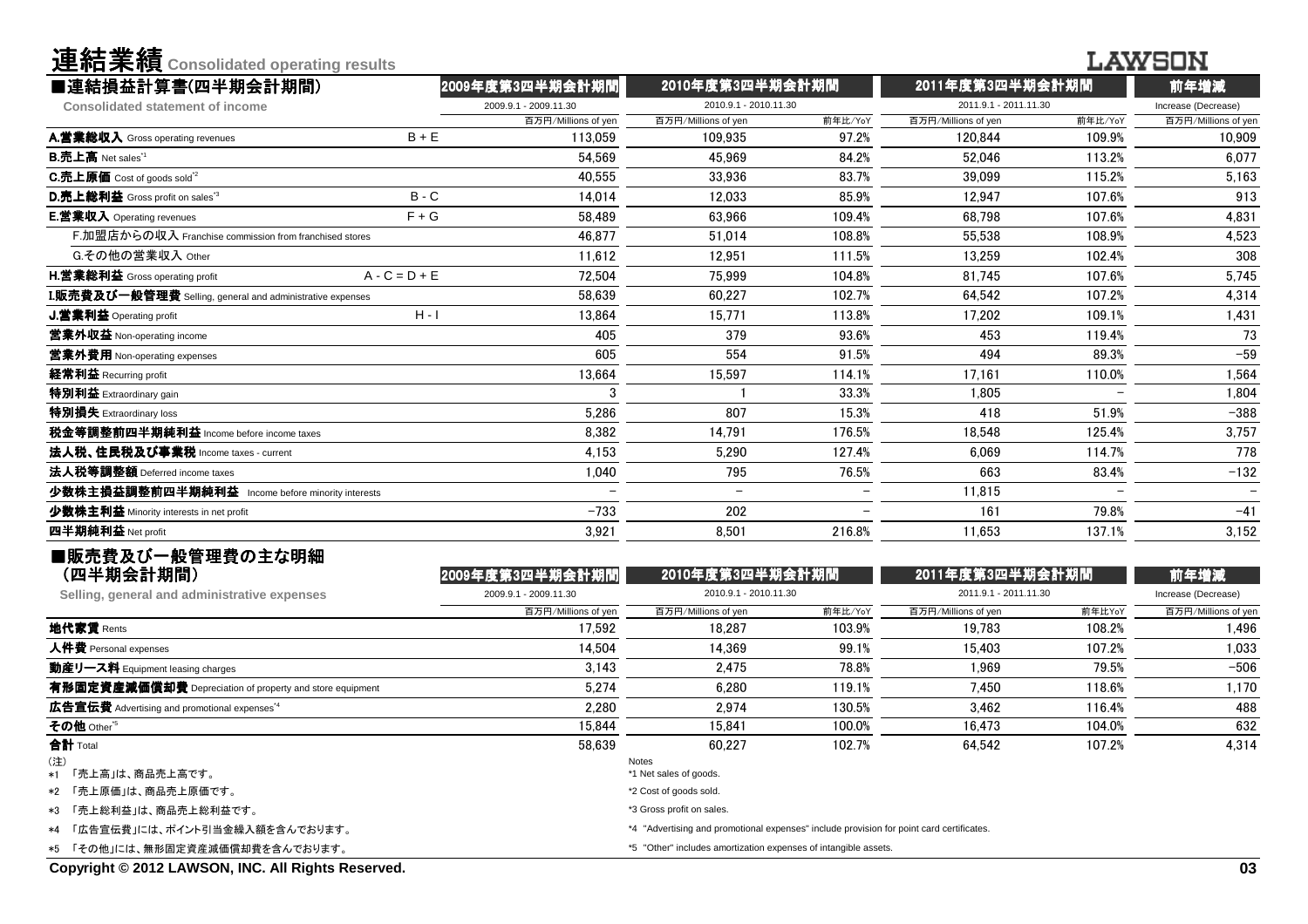| ■連結損益計算書(四半期会計期間)<br>2009年度第3四半期会計期間<br>2010年度第3四半期会計期間<br>2011年度第3四半期会計期間<br>前年増減<br>2010.9.1 - 2010.11.30<br>2011.9.1 - 2011.11.30<br>2009.9.1 - 2009.11.30<br>Increase (Decrease)<br><b>Consolidated statement of income</b><br>前年比/YoY<br>前年比/YoY<br>百万円/Millions of yen<br>百万円/Millions of yen<br>百万円/Millions of yen<br>百万円/Millions of yen<br>$B + E$<br>97.2%<br>109.9%<br>113,059<br>109,935<br>120,844<br>10,909<br>54.569<br>84.2%<br>113.2%<br>6,077<br>45.969<br>52,046<br>40,555<br>33.936<br>83.7%<br>39.099<br>115.2%<br>5,163<br>$B - C$<br>107.6%<br>913<br>14.014<br>85.9%<br>12,947<br>12.033<br>$F + G$<br>107.6%<br>58,489<br>63.966<br>109.4%<br>68,798<br>4,831<br>F.加盟店からの収入 Franchise commission from franchised stores<br>4,523<br>46.877<br>51.014<br>108.8%<br>55,538<br>108.9%<br>G.その他の営業収入 Other<br>12,951<br>308<br>11.612<br>111.5%<br>13,259<br>102.4%<br>72,504<br>5,745<br>$A - C = D + E$<br>75.999<br>104.8%<br>81,745<br>107.6%<br>I.販売費及び一般管理費 Selling, general and administrative expenses<br>58.639<br>60,227<br>102.7%<br>64,542<br>107.2%<br>4,314<br>$H - I$<br>113.8%<br>1,431<br>13,864<br>15.771<br>17,202<br>109.1%<br>73<br>405<br>379<br>93.6%<br>453<br>119.4%<br>$-59$<br>605<br>554<br>91.5%<br>494<br>89.3%<br>114.1%<br>1,564<br>13.664<br>15.597<br>17.161<br>110.0%<br>1,805<br>1,804<br>3<br>33.3%<br>51.9%<br>$-388$<br>5,286<br>807<br>15.3%<br>418<br>3,757<br>8,382<br>176.5%<br>18,548<br>125.4%<br>14,791<br>778<br>4,153<br>5,290<br>127.4%<br>6.069<br>114.7%<br>$-132$<br>1,040<br>795<br>76.5%<br>83.4%<br>663<br>少数株主損益調整前四半期純利益 Income before minority interests<br>11,815<br>$\overline{\phantom{0}}$<br>$-733$<br>79.8%<br>202<br>161<br>$-41$<br>3,921<br>8,501<br>216.8%<br>11,653<br>137.1%<br>3,152<br>■販売費及び一般管理費の主な明細<br>(四半期会計期間)<br>2010年度第3四半期会計期間<br>2011年度第3四半期会計期間<br>2009年度第3四半期会計期間<br>前年増減<br>2009.9.1 - 2009.11.30<br>2010.9.1 - 2010.11.30<br>2011.9.1 - 2011.11.30<br>Increase (Decrease)<br>Selling, general and administrative expenses<br>百万円/Millions of yen<br>前年比/YoY<br>前年比YoY<br>百万円/Millions of yen<br>百万円/Millions of yen<br>百万円/Millions of yen<br>地代家賃 Rents<br>17.592<br>18,287<br>103.9%<br>108.2%<br>19,783<br>1,496<br>人件費 Personal expenses<br>14,504<br>107.2%<br>14,369<br>99.1%<br>15,403<br>1,033<br>2,475<br>79.5%<br>$-506$<br>3.143<br>78.8%<br>1.969<br>動産リース料 Equipment leasing charges<br>有形固定資産減価償却費 Depreciation of property and store equipment<br>5,274<br>6,280<br>119.1%<br>7,450<br>118.6%<br>1,170<br>2,280<br>2.974<br>130.5%<br>116.4%<br>488<br>3.462<br>その他 Other <sup>*5</sup><br>15,844<br>15,841<br>100.0%<br>104.0%<br>632<br>16,473<br>58,639<br>60,227<br>102.7%<br>64,542<br>107.2%<br>4,314<br>(注)<br>Notes<br>*1 Net sales of goods.<br>「売上高」は、商品売上高です。<br>*1<br>*2 Cost of goods sold.<br>「売上総利益」は、商品売上総利益です。<br>*3 Gross profit on sales.<br>*4 "Advertising and promotional expenses" include provision for point card certificates.<br>「広告宣伝費」には、ポイント引当金繰入額を含んでおります。<br>*5 "Other" includes amortization expenses of intangible assets.<br>「その他」には、無形固定資産減価償却費を含んでおります。 | 連結業績 Consolidated operating results                      |  |  |  | LAWSON |
|-------------------------------------------------------------------------------------------------------------------------------------------------------------------------------------------------------------------------------------------------------------------------------------------------------------------------------------------------------------------------------------------------------------------------------------------------------------------------------------------------------------------------------------------------------------------------------------------------------------------------------------------------------------------------------------------------------------------------------------------------------------------------------------------------------------------------------------------------------------------------------------------------------------------------------------------------------------------------------------------------------------------------------------------------------------------------------------------------------------------------------------------------------------------------------------------------------------------------------------------------------------------------------------------------------------------------------------------------------------------------------------------------------------------------------------------------------------------------------------------------------------------------------------------------------------------------------------------------------------------------------------------------------------------------------------------------------------------------------------------------------------------------------------------------------------------------------------------------------------------------------------------------------------------------------------------------------------------------------------------------------------------------------------------------------------------------------------------------------------------------------------------------------------------------------------------------------------------------------------------------------------------------------------------------------------------------------------------------------------------------------------------------------------------------------------------------------------------------------------------------------------------------------------------------------------------------------------------------------------------------------------------------------------------------------------------------------------------------------------------------------------------------------------------------------------------------------------------------------------------------------------------------------------------------------------------------------------------------------------------------------------------------------------------------------------------------------------------------------------------------|----------------------------------------------------------|--|--|--|--------|
|                                                                                                                                                                                                                                                                                                                                                                                                                                                                                                                                                                                                                                                                                                                                                                                                                                                                                                                                                                                                                                                                                                                                                                                                                                                                                                                                                                                                                                                                                                                                                                                                                                                                                                                                                                                                                                                                                                                                                                                                                                                                                                                                                                                                                                                                                                                                                                                                                                                                                                                                                                                                                                                                                                                                                                                                                                                                                                                                                                                                                                                                                                                         |                                                          |  |  |  |        |
|                                                                                                                                                                                                                                                                                                                                                                                                                                                                                                                                                                                                                                                                                                                                                                                                                                                                                                                                                                                                                                                                                                                                                                                                                                                                                                                                                                                                                                                                                                                                                                                                                                                                                                                                                                                                                                                                                                                                                                                                                                                                                                                                                                                                                                                                                                                                                                                                                                                                                                                                                                                                                                                                                                                                                                                                                                                                                                                                                                                                                                                                                                                         |                                                          |  |  |  |        |
|                                                                                                                                                                                                                                                                                                                                                                                                                                                                                                                                                                                                                                                                                                                                                                                                                                                                                                                                                                                                                                                                                                                                                                                                                                                                                                                                                                                                                                                                                                                                                                                                                                                                                                                                                                                                                                                                                                                                                                                                                                                                                                                                                                                                                                                                                                                                                                                                                                                                                                                                                                                                                                                                                                                                                                                                                                                                                                                                                                                                                                                                                                                         |                                                          |  |  |  |        |
|                                                                                                                                                                                                                                                                                                                                                                                                                                                                                                                                                                                                                                                                                                                                                                                                                                                                                                                                                                                                                                                                                                                                                                                                                                                                                                                                                                                                                                                                                                                                                                                                                                                                                                                                                                                                                                                                                                                                                                                                                                                                                                                                                                                                                                                                                                                                                                                                                                                                                                                                                                                                                                                                                                                                                                                                                                                                                                                                                                                                                                                                                                                         | A.営業総収入 Gross operating revenues                         |  |  |  |        |
|                                                                                                                                                                                                                                                                                                                                                                                                                                                                                                                                                                                                                                                                                                                                                                                                                                                                                                                                                                                                                                                                                                                                                                                                                                                                                                                                                                                                                                                                                                                                                                                                                                                                                                                                                                                                                                                                                                                                                                                                                                                                                                                                                                                                                                                                                                                                                                                                                                                                                                                                                                                                                                                                                                                                                                                                                                                                                                                                                                                                                                                                                                                         | <b>B.売上高</b> Net sales <sup>"1</sup>                     |  |  |  |        |
|                                                                                                                                                                                                                                                                                                                                                                                                                                                                                                                                                                                                                                                                                                                                                                                                                                                                                                                                                                                                                                                                                                                                                                                                                                                                                                                                                                                                                                                                                                                                                                                                                                                                                                                                                                                                                                                                                                                                                                                                                                                                                                                                                                                                                                                                                                                                                                                                                                                                                                                                                                                                                                                                                                                                                                                                                                                                                                                                                                                                                                                                                                                         | C.売上原価 Cost of goods sold <sup>"2</sup>                  |  |  |  |        |
|                                                                                                                                                                                                                                                                                                                                                                                                                                                                                                                                                                                                                                                                                                                                                                                                                                                                                                                                                                                                                                                                                                                                                                                                                                                                                                                                                                                                                                                                                                                                                                                                                                                                                                                                                                                                                                                                                                                                                                                                                                                                                                                                                                                                                                                                                                                                                                                                                                                                                                                                                                                                                                                                                                                                                                                                                                                                                                                                                                                                                                                                                                                         | D.売上総利益 Gross profit on sales <sup>"3</sup>              |  |  |  |        |
|                                                                                                                                                                                                                                                                                                                                                                                                                                                                                                                                                                                                                                                                                                                                                                                                                                                                                                                                                                                                                                                                                                                                                                                                                                                                                                                                                                                                                                                                                                                                                                                                                                                                                                                                                                                                                                                                                                                                                                                                                                                                                                                                                                                                                                                                                                                                                                                                                                                                                                                                                                                                                                                                                                                                                                                                                                                                                                                                                                                                                                                                                                                         | E.営業収入 Operating revenues                                |  |  |  |        |
|                                                                                                                                                                                                                                                                                                                                                                                                                                                                                                                                                                                                                                                                                                                                                                                                                                                                                                                                                                                                                                                                                                                                                                                                                                                                                                                                                                                                                                                                                                                                                                                                                                                                                                                                                                                                                                                                                                                                                                                                                                                                                                                                                                                                                                                                                                                                                                                                                                                                                                                                                                                                                                                                                                                                                                                                                                                                                                                                                                                                                                                                                                                         |                                                          |  |  |  |        |
|                                                                                                                                                                                                                                                                                                                                                                                                                                                                                                                                                                                                                                                                                                                                                                                                                                                                                                                                                                                                                                                                                                                                                                                                                                                                                                                                                                                                                                                                                                                                                                                                                                                                                                                                                                                                                                                                                                                                                                                                                                                                                                                                                                                                                                                                                                                                                                                                                                                                                                                                                                                                                                                                                                                                                                                                                                                                                                                                                                                                                                                                                                                         |                                                          |  |  |  |        |
|                                                                                                                                                                                                                                                                                                                                                                                                                                                                                                                                                                                                                                                                                                                                                                                                                                                                                                                                                                                                                                                                                                                                                                                                                                                                                                                                                                                                                                                                                                                                                                                                                                                                                                                                                                                                                                                                                                                                                                                                                                                                                                                                                                                                                                                                                                                                                                                                                                                                                                                                                                                                                                                                                                                                                                                                                                                                                                                                                                                                                                                                                                                         | <b>H.営業総利益</b> Gross operating profit                    |  |  |  |        |
|                                                                                                                                                                                                                                                                                                                                                                                                                                                                                                                                                                                                                                                                                                                                                                                                                                                                                                                                                                                                                                                                                                                                                                                                                                                                                                                                                                                                                                                                                                                                                                                                                                                                                                                                                                                                                                                                                                                                                                                                                                                                                                                                                                                                                                                                                                                                                                                                                                                                                                                                                                                                                                                                                                                                                                                                                                                                                                                                                                                                                                                                                                                         |                                                          |  |  |  |        |
|                                                                                                                                                                                                                                                                                                                                                                                                                                                                                                                                                                                                                                                                                                                                                                                                                                                                                                                                                                                                                                                                                                                                                                                                                                                                                                                                                                                                                                                                                                                                                                                                                                                                                                                                                                                                                                                                                                                                                                                                                                                                                                                                                                                                                                                                                                                                                                                                                                                                                                                                                                                                                                                                                                                                                                                                                                                                                                                                                                                                                                                                                                                         | J.営業利益 Operating profit                                  |  |  |  |        |
|                                                                                                                                                                                                                                                                                                                                                                                                                                                                                                                                                                                                                                                                                                                                                                                                                                                                                                                                                                                                                                                                                                                                                                                                                                                                                                                                                                                                                                                                                                                                                                                                                                                                                                                                                                                                                                                                                                                                                                                                                                                                                                                                                                                                                                                                                                                                                                                                                                                                                                                                                                                                                                                                                                                                                                                                                                                                                                                                                                                                                                                                                                                         | 當業外収益 Non-operating income                               |  |  |  |        |
|                                                                                                                                                                                                                                                                                                                                                                                                                                                                                                                                                                                                                                                                                                                                                                                                                                                                                                                                                                                                                                                                                                                                                                                                                                                                                                                                                                                                                                                                                                                                                                                                                                                                                                                                                                                                                                                                                                                                                                                                                                                                                                                                                                                                                                                                                                                                                                                                                                                                                                                                                                                                                                                                                                                                                                                                                                                                                                                                                                                                                                                                                                                         | 営業外費用 Non-operating expenses                             |  |  |  |        |
|                                                                                                                                                                                                                                                                                                                                                                                                                                                                                                                                                                                                                                                                                                                                                                                                                                                                                                                                                                                                                                                                                                                                                                                                                                                                                                                                                                                                                                                                                                                                                                                                                                                                                                                                                                                                                                                                                                                                                                                                                                                                                                                                                                                                                                                                                                                                                                                                                                                                                                                                                                                                                                                                                                                                                                                                                                                                                                                                                                                                                                                                                                                         | 経常利益 Recurring profit                                    |  |  |  |        |
|                                                                                                                                                                                                                                                                                                                                                                                                                                                                                                                                                                                                                                                                                                                                                                                                                                                                                                                                                                                                                                                                                                                                                                                                                                                                                                                                                                                                                                                                                                                                                                                                                                                                                                                                                                                                                                                                                                                                                                                                                                                                                                                                                                                                                                                                                                                                                                                                                                                                                                                                                                                                                                                                                                                                                                                                                                                                                                                                                                                                                                                                                                                         | 特別利益 Extraordinary gain                                  |  |  |  |        |
|                                                                                                                                                                                                                                                                                                                                                                                                                                                                                                                                                                                                                                                                                                                                                                                                                                                                                                                                                                                                                                                                                                                                                                                                                                                                                                                                                                                                                                                                                                                                                                                                                                                                                                                                                                                                                                                                                                                                                                                                                                                                                                                                                                                                                                                                                                                                                                                                                                                                                                                                                                                                                                                                                                                                                                                                                                                                                                                                                                                                                                                                                                                         | 特別損失 Extraordinary loss                                  |  |  |  |        |
|                                                                                                                                                                                                                                                                                                                                                                                                                                                                                                                                                                                                                                                                                                                                                                                                                                                                                                                                                                                                                                                                                                                                                                                                                                                                                                                                                                                                                                                                                                                                                                                                                                                                                                                                                                                                                                                                                                                                                                                                                                                                                                                                                                                                                                                                                                                                                                                                                                                                                                                                                                                                                                                                                                                                                                                                                                                                                                                                                                                                                                                                                                                         | 税金等調整前四半期純利益 Income before income taxes                  |  |  |  |        |
|                                                                                                                                                                                                                                                                                                                                                                                                                                                                                                                                                                                                                                                                                                                                                                                                                                                                                                                                                                                                                                                                                                                                                                                                                                                                                                                                                                                                                                                                                                                                                                                                                                                                                                                                                                                                                                                                                                                                                                                                                                                                                                                                                                                                                                                                                                                                                                                                                                                                                                                                                                                                                                                                                                                                                                                                                                                                                                                                                                                                                                                                                                                         | 法人税、住民税及び事業税 Income taxes - current                      |  |  |  |        |
|                                                                                                                                                                                                                                                                                                                                                                                                                                                                                                                                                                                                                                                                                                                                                                                                                                                                                                                                                                                                                                                                                                                                                                                                                                                                                                                                                                                                                                                                                                                                                                                                                                                                                                                                                                                                                                                                                                                                                                                                                                                                                                                                                                                                                                                                                                                                                                                                                                                                                                                                                                                                                                                                                                                                                                                                                                                                                                                                                                                                                                                                                                                         | 法人税等調整額 Deferred income taxes                            |  |  |  |        |
|                                                                                                                                                                                                                                                                                                                                                                                                                                                                                                                                                                                                                                                                                                                                                                                                                                                                                                                                                                                                                                                                                                                                                                                                                                                                                                                                                                                                                                                                                                                                                                                                                                                                                                                                                                                                                                                                                                                                                                                                                                                                                                                                                                                                                                                                                                                                                                                                                                                                                                                                                                                                                                                                                                                                                                                                                                                                                                                                                                                                                                                                                                                         |                                                          |  |  |  |        |
|                                                                                                                                                                                                                                                                                                                                                                                                                                                                                                                                                                                                                                                                                                                                                                                                                                                                                                                                                                                                                                                                                                                                                                                                                                                                                                                                                                                                                                                                                                                                                                                                                                                                                                                                                                                                                                                                                                                                                                                                                                                                                                                                                                                                                                                                                                                                                                                                                                                                                                                                                                                                                                                                                                                                                                                                                                                                                                                                                                                                                                                                                                                         | 少数株主利益 Minority interests in net profit                  |  |  |  |        |
|                                                                                                                                                                                                                                                                                                                                                                                                                                                                                                                                                                                                                                                                                                                                                                                                                                                                                                                                                                                                                                                                                                                                                                                                                                                                                                                                                                                                                                                                                                                                                                                                                                                                                                                                                                                                                                                                                                                                                                                                                                                                                                                                                                                                                                                                                                                                                                                                                                                                                                                                                                                                                                                                                                                                                                                                                                                                                                                                                                                                                                                                                                                         | 四半期純利益 Net profit                                        |  |  |  |        |
|                                                                                                                                                                                                                                                                                                                                                                                                                                                                                                                                                                                                                                                                                                                                                                                                                                                                                                                                                                                                                                                                                                                                                                                                                                                                                                                                                                                                                                                                                                                                                                                                                                                                                                                                                                                                                                                                                                                                                                                                                                                                                                                                                                                                                                                                                                                                                                                                                                                                                                                                                                                                                                                                                                                                                                                                                                                                                                                                                                                                                                                                                                                         |                                                          |  |  |  |        |
|                                                                                                                                                                                                                                                                                                                                                                                                                                                                                                                                                                                                                                                                                                                                                                                                                                                                                                                                                                                                                                                                                                                                                                                                                                                                                                                                                                                                                                                                                                                                                                                                                                                                                                                                                                                                                                                                                                                                                                                                                                                                                                                                                                                                                                                                                                                                                                                                                                                                                                                                                                                                                                                                                                                                                                                                                                                                                                                                                                                                                                                                                                                         |                                                          |  |  |  |        |
|                                                                                                                                                                                                                                                                                                                                                                                                                                                                                                                                                                                                                                                                                                                                                                                                                                                                                                                                                                                                                                                                                                                                                                                                                                                                                                                                                                                                                                                                                                                                                                                                                                                                                                                                                                                                                                                                                                                                                                                                                                                                                                                                                                                                                                                                                                                                                                                                                                                                                                                                                                                                                                                                                                                                                                                                                                                                                                                                                                                                                                                                                                                         |                                                          |  |  |  |        |
|                                                                                                                                                                                                                                                                                                                                                                                                                                                                                                                                                                                                                                                                                                                                                                                                                                                                                                                                                                                                                                                                                                                                                                                                                                                                                                                                                                                                                                                                                                                                                                                                                                                                                                                                                                                                                                                                                                                                                                                                                                                                                                                                                                                                                                                                                                                                                                                                                                                                                                                                                                                                                                                                                                                                                                                                                                                                                                                                                                                                                                                                                                                         |                                                          |  |  |  |        |
|                                                                                                                                                                                                                                                                                                                                                                                                                                                                                                                                                                                                                                                                                                                                                                                                                                                                                                                                                                                                                                                                                                                                                                                                                                                                                                                                                                                                                                                                                                                                                                                                                                                                                                                                                                                                                                                                                                                                                                                                                                                                                                                                                                                                                                                                                                                                                                                                                                                                                                                                                                                                                                                                                                                                                                                                                                                                                                                                                                                                                                                                                                                         |                                                          |  |  |  |        |
|                                                                                                                                                                                                                                                                                                                                                                                                                                                                                                                                                                                                                                                                                                                                                                                                                                                                                                                                                                                                                                                                                                                                                                                                                                                                                                                                                                                                                                                                                                                                                                                                                                                                                                                                                                                                                                                                                                                                                                                                                                                                                                                                                                                                                                                                                                                                                                                                                                                                                                                                                                                                                                                                                                                                                                                                                                                                                                                                                                                                                                                                                                                         |                                                          |  |  |  |        |
|                                                                                                                                                                                                                                                                                                                                                                                                                                                                                                                                                                                                                                                                                                                                                                                                                                                                                                                                                                                                                                                                                                                                                                                                                                                                                                                                                                                                                                                                                                                                                                                                                                                                                                                                                                                                                                                                                                                                                                                                                                                                                                                                                                                                                                                                                                                                                                                                                                                                                                                                                                                                                                                                                                                                                                                                                                                                                                                                                                                                                                                                                                                         |                                                          |  |  |  |        |
|                                                                                                                                                                                                                                                                                                                                                                                                                                                                                                                                                                                                                                                                                                                                                                                                                                                                                                                                                                                                                                                                                                                                                                                                                                                                                                                                                                                                                                                                                                                                                                                                                                                                                                                                                                                                                                                                                                                                                                                                                                                                                                                                                                                                                                                                                                                                                                                                                                                                                                                                                                                                                                                                                                                                                                                                                                                                                                                                                                                                                                                                                                                         | 広告宣伝費 Advertising and promotional expenses <sup>*4</sup> |  |  |  |        |
|                                                                                                                                                                                                                                                                                                                                                                                                                                                                                                                                                                                                                                                                                                                                                                                                                                                                                                                                                                                                                                                                                                                                                                                                                                                                                                                                                                                                                                                                                                                                                                                                                                                                                                                                                                                                                                                                                                                                                                                                                                                                                                                                                                                                                                                                                                                                                                                                                                                                                                                                                                                                                                                                                                                                                                                                                                                                                                                                                                                                                                                                                                                         |                                                          |  |  |  |        |
|                                                                                                                                                                                                                                                                                                                                                                                                                                                                                                                                                                                                                                                                                                                                                                                                                                                                                                                                                                                                                                                                                                                                                                                                                                                                                                                                                                                                                                                                                                                                                                                                                                                                                                                                                                                                                                                                                                                                                                                                                                                                                                                                                                                                                                                                                                                                                                                                                                                                                                                                                                                                                                                                                                                                                                                                                                                                                                                                                                                                                                                                                                                         | 合計 Total                                                 |  |  |  |        |
|                                                                                                                                                                                                                                                                                                                                                                                                                                                                                                                                                                                                                                                                                                                                                                                                                                                                                                                                                                                                                                                                                                                                                                                                                                                                                                                                                                                                                                                                                                                                                                                                                                                                                                                                                                                                                                                                                                                                                                                                                                                                                                                                                                                                                                                                                                                                                                                                                                                                                                                                                                                                                                                                                                                                                                                                                                                                                                                                                                                                                                                                                                                         |                                                          |  |  |  |        |
|                                                                                                                                                                                                                                                                                                                                                                                                                                                                                                                                                                                                                                                                                                                                                                                                                                                                                                                                                                                                                                                                                                                                                                                                                                                                                                                                                                                                                                                                                                                                                                                                                                                                                                                                                                                                                                                                                                                                                                                                                                                                                                                                                                                                                                                                                                                                                                                                                                                                                                                                                                                                                                                                                                                                                                                                                                                                                                                                                                                                                                                                                                                         | *2 「売上原価」は、商品売上原価です。                                     |  |  |  |        |
|                                                                                                                                                                                                                                                                                                                                                                                                                                                                                                                                                                                                                                                                                                                                                                                                                                                                                                                                                                                                                                                                                                                                                                                                                                                                                                                                                                                                                                                                                                                                                                                                                                                                                                                                                                                                                                                                                                                                                                                                                                                                                                                                                                                                                                                                                                                                                                                                                                                                                                                                                                                                                                                                                                                                                                                                                                                                                                                                                                                                                                                                                                                         | *3                                                       |  |  |  |        |
|                                                                                                                                                                                                                                                                                                                                                                                                                                                                                                                                                                                                                                                                                                                                                                                                                                                                                                                                                                                                                                                                                                                                                                                                                                                                                                                                                                                                                                                                                                                                                                                                                                                                                                                                                                                                                                                                                                                                                                                                                                                                                                                                                                                                                                                                                                                                                                                                                                                                                                                                                                                                                                                                                                                                                                                                                                                                                                                                                                                                                                                                                                                         | *4                                                       |  |  |  |        |
|                                                                                                                                                                                                                                                                                                                                                                                                                                                                                                                                                                                                                                                                                                                                                                                                                                                                                                                                                                                                                                                                                                                                                                                                                                                                                                                                                                                                                                                                                                                                                                                                                                                                                                                                                                                                                                                                                                                                                                                                                                                                                                                                                                                                                                                                                                                                                                                                                                                                                                                                                                                                                                                                                                                                                                                                                                                                                                                                                                                                                                                                                                                         |                                                          |  |  |  |        |

**Copyright © 2012 LAWSON, INC. All Rights Reserved.**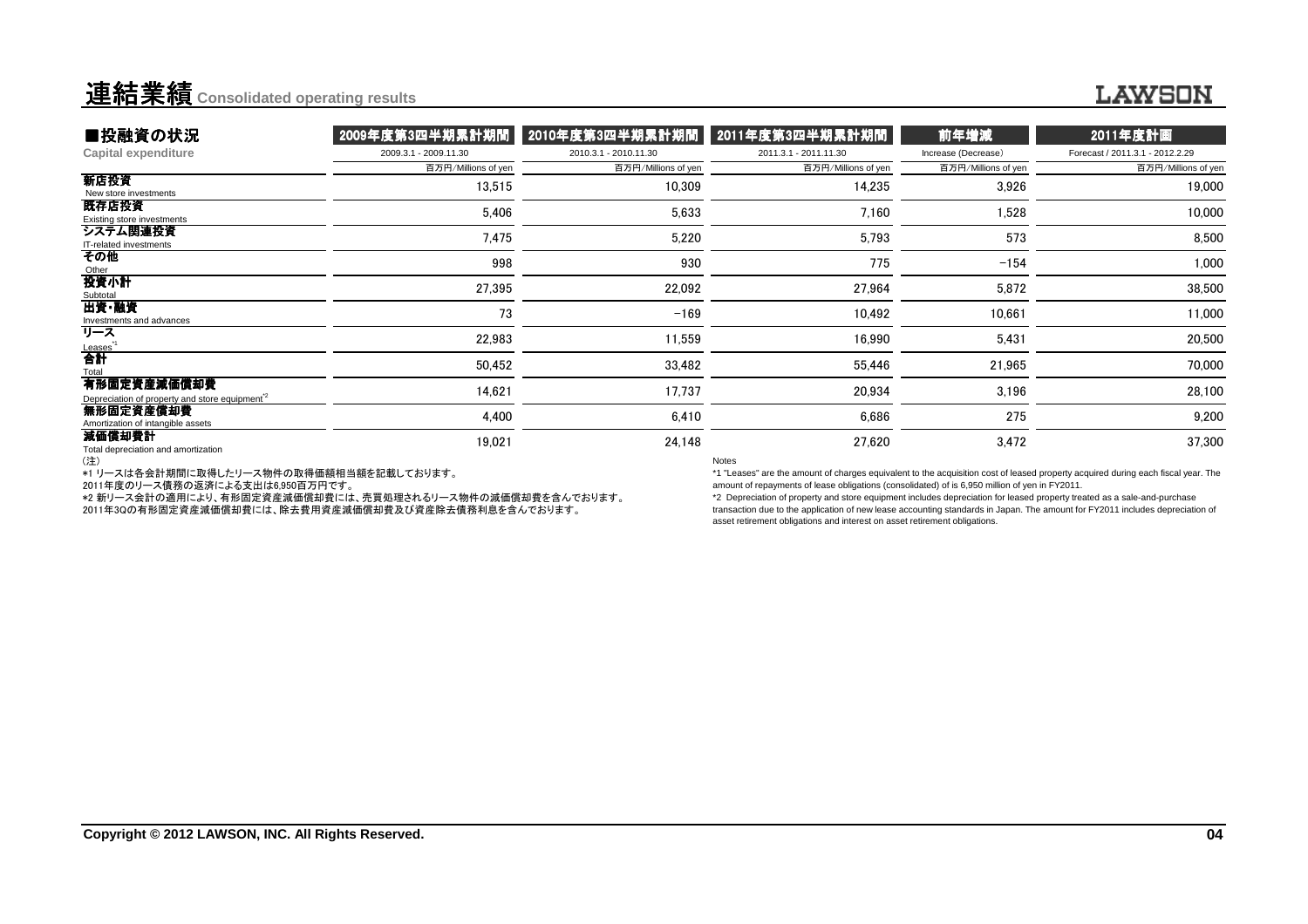### LAWSON

| ■投融資の状況                                                                  | 2009年度第3四半期累計期間       | 2010年度第3四半期累計期間       | 2011年度第3四半期累計期間       | 前年増減                | 2011年度計画                        |
|--------------------------------------------------------------------------|-----------------------|-----------------------|-----------------------|---------------------|---------------------------------|
| <b>Capital expenditure</b>                                               | 2009.3.1 - 2009.11.30 | 2010.3.1 - 2010.11.30 | 2011.3.1 - 2011.11.30 | Increase (Decrease) | Forecast / 2011.3.1 - 2012.2.29 |
|                                                                          | 百万円/Millions of yen   | 百万円/Millions of yen   | 百万円/Millions of yen   | 百万円/Millions of yen | 百万円/Millions of yen             |
| 新店投資<br>New store investments                                            | 13,515                | 10,309                | 14,235                | 3,926               | 19,000                          |
| 既存店投資<br>Existing store investments                                      | 5,406                 | 5,633                 | 7,160                 | 1,528               | 10,000                          |
| システム関連投資<br>IT-related investments                                       | 7,475                 | 5,220                 | 5,793                 | 573                 | 8,500                           |
| その他<br>Other                                                             | 998                   | 930                   | 775                   | $-154$              | 1,000                           |
| 投資小計<br>Subtotal                                                         | 27,395                | 22,092                | 27,964                | 5,872               | 38,500                          |
| 出資・融資<br>Investments and advances                                        | 73                    | $-169$                | 10,492                | 10,661              | 11,000                          |
| リース                                                                      | 22,983                | 11,559                | 16,990                | 5,431               | 20,500                          |
| <u>Leases</u><br>合計<br>Total                                             | 50,452                | 33,482                | 55,446                | 21,965              | 70,000                          |
| 有形固定資産減価償却費<br>Depreciation of property and store equipment <sup>2</sup> | 14,621                | 17,737                | 20,934                | 3,196               | 28,100                          |
| 無形固定資産償却費<br>Amortization of intangible assets                           | 4,400                 | 6,410                 | 6,686                 | 275                 | 9,200                           |
| 減価償却費計<br>Total depreciation and amortization                            | 19,021                | 24,148                | 27,620                | 3,472               | 37,300                          |
| (注)                                                                      |                       |                       | <b>Notes</b>          |                     |                                 |

(注) \*1 リースは各会計期間に取得したリース物件の取得価額相当額を記載しております。

2011年度のリース債務の返済による支出は6,950百万円です。

 \*2 新リース会計の適用により、有形固定資産減価償却費には、売買処理されるリース物件の減価償却費を含んでおります。2011年3Qの有形固定資産減価償却費には、除去費用資産減価償却費及び資産除去債務利息を含んでおります。

 \*1 "Leases" are the amount of charges equivalent to the acquisition cost of leased property acquired during each fiscal year. Theamount of repayments of lease obligations (consolidated) of is 6,950 million of yen in FY2011.\*2 Depreciation of property and store equipment includes depreciation for leased property treated as a sale-and-purchase

 transaction due to the application of new lease accounting standards in Japan. The amount for FY2011 includes depreciation of asset retirement obligations and interest on asset retirement obligations.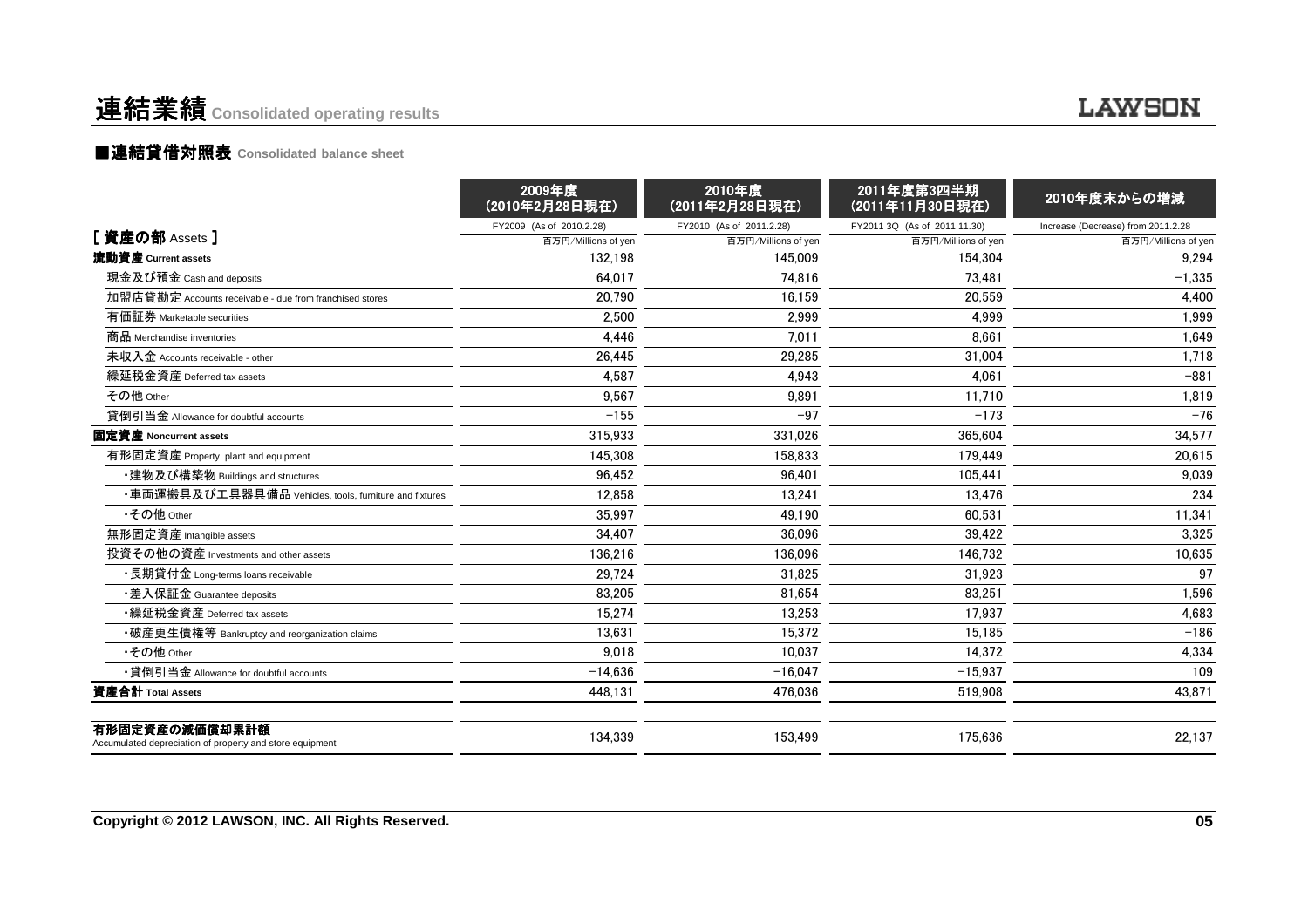## 連結業績 **Consolidated operating results**

### **LAWSON**

### ■連結貸借対照表 Consolidated balance sheet

|                                                                            | 2009年度<br>(2010年2月28日現在) | 2010年度<br>(2011年2月28日現在) | 2011年度第3四半期<br>(2011年11月30日現在) | 2010年度末からの増減                       |
|----------------------------------------------------------------------------|--------------------------|--------------------------|--------------------------------|------------------------------------|
|                                                                            | FY2009 (As of 2010.2.28) | FY2010 (As of 2011.2.28) | FY2011 3Q (As of 2011.11.30)   | Increase (Decrease) from 2011.2.28 |
| [ 資産の部 Assets ]                                                            | 百万円/Millions of yen      | 百万円/Millions of yen      | 百万円/Millions of yen            | 百万円/Millions of yen                |
| 流動資産 Current assets                                                        | 132.198                  | 145.009                  | 154.304                        | 9.294                              |
| 現金及び預金 Cash and deposits                                                   | 64.017                   | 74.816                   | 73.481                         | $-1,335$                           |
| 加盟店貸勘定 Accounts receivable - due from franchised stores                    | 20.790                   | 16.159                   | 20.559                         | 4,400                              |
| 有価証券 Marketable securities                                                 | 2.500                    | 2.999                    | 4.999                          | 1,999                              |
| 商品 Merchandise inventories                                                 | 4,446                    | 7.011                    | 8.661                          | 1,649                              |
| 未収入金 Accounts receivable - other                                           | 26,445                   | 29,285                   | 31,004                         | 1,718                              |
| 繰延税金資産 Deferred tax assets                                                 | 4,587                    | 4.943                    | 4.061                          | $-881$                             |
| その他 Other                                                                  | 9.567                    | 9.891                    | 11.710                         | 1.819                              |
| 貸倒引当金 Allowance for doubtful accounts                                      | $-155$                   | $-97$                    | $-173$                         | $-76$                              |
| 固定資産 Noncurrent assets                                                     | 315.933                  | 331.026                  | 365.604                        | 34,577                             |
| 有形固定資産 Property, plant and equipment                                       | 145.308                  | 158.833                  | 179.449                        | 20.615                             |
| ・建物及び構築物 Buildings and structures                                          | 96.452                   | 96.401                   | 105.441                        | 9,039                              |
| ・車両運搬具及び工具器具備品 Vehicles, tools, furniture and fixtures                     | 12.858                   | 13.241                   | 13.476                         | 234                                |
| •その他 Other                                                                 | 35.997                   | 49.190                   | 60.531                         | 11,341                             |
| 無形固定資産 Intangible assets                                                   | 34.407                   | 36.096                   | 39.422                         | 3,325                              |
| 投資その他の資産 Investments and other assets                                      | 136,216                  | 136.096                  | 146.732                        | 10,635                             |
| •長期貸付金 Long-terms loans receivable                                         | 29.724                   | 31.825                   | 31,923                         | 97                                 |
| •差入保証金 Guarantee deposits                                                  | 83,205                   | 81,654                   | 83,251                         | 1,596                              |
| •繰延税金資産 Deferred tax assets                                                | 15,274                   | 13,253                   | 17.937                         | 4,683                              |
| •破産更生債権等 Bankruptcy and reorganization claims                              | 13,631                   | 15.372                   | 15.185                         | $-186$                             |
| •その他 Other                                                                 | 9.018                    | 10.037                   | 14.372                         | 4,334                              |
| •貸倒引当金 Allowance for doubtful accounts                                     | $-14,636$                | $-16.047$                | $-15,937$                      | 109                                |
| 資産合計 Total Assets                                                          | 448,131                  | 476,036                  | 519,908                        | 43,871                             |
| 有形固定資産の減価償却累計額<br>Accumulated depreciation of property and store equipment | 134.339                  | 153.499                  | 175.636                        | 22.137                             |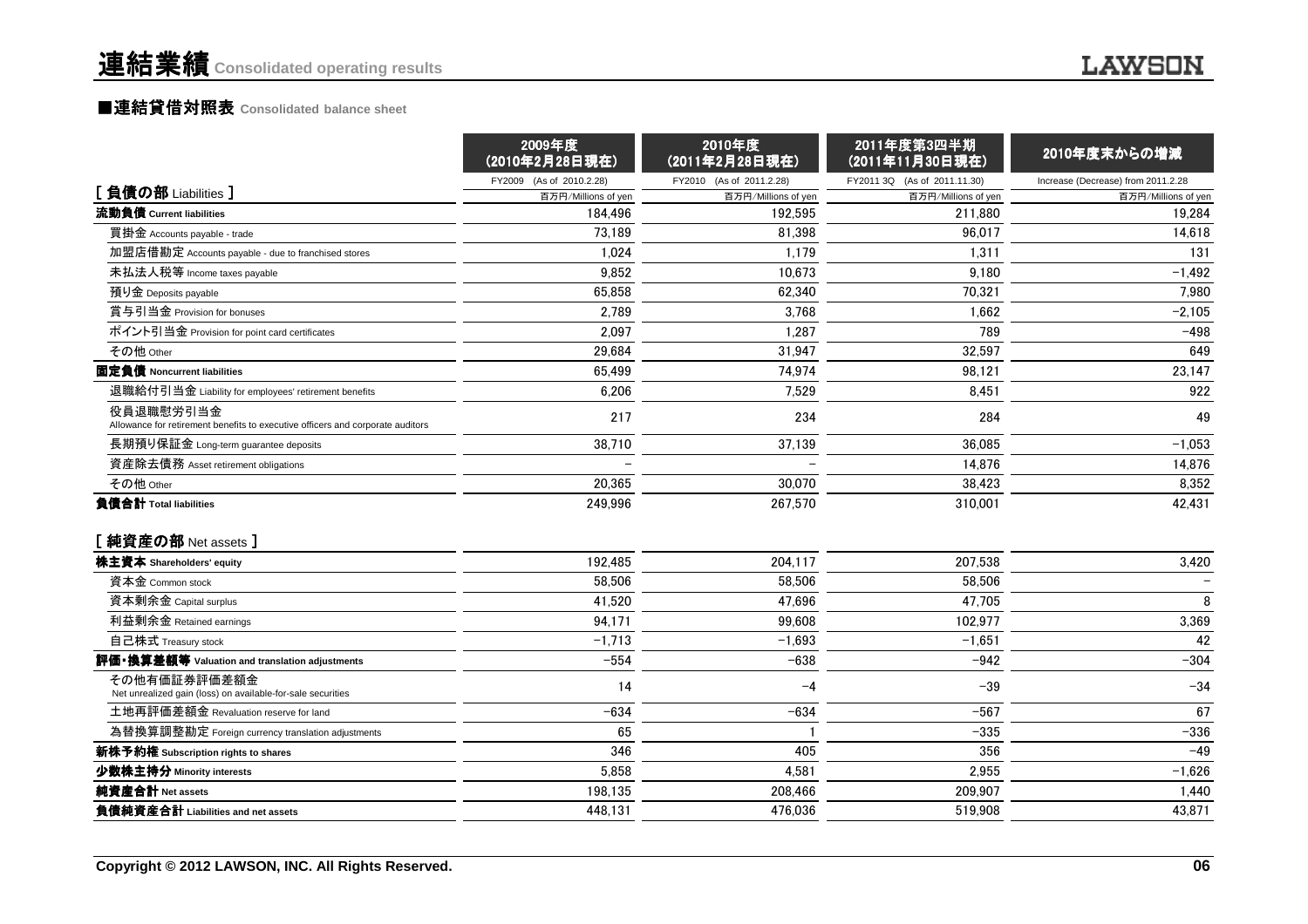#### ■連結貸借対照表 Consolidated balance sheet

| FY2009 (As of 2010.2.28)<br>FY2010 (As of 2011.2.28)<br>FY2011 3Q (As of 2011.11.30)<br>Increase (Decrease) from 2011.2.28<br>[負債の部 Liabilities]<br>百万円/Millions of yen<br>百万円/Millions of yen<br>百万円/Millions of yen<br>流動負債 Current liabilities<br>184.496<br>192.595<br>211.880<br>19,284<br>73,189<br>81.398<br>96.017<br>14,618<br>買掛金 Accounts payable - trade<br>加盟店借勘定 Accounts payable - due to franchised stores<br>1,024<br>1,179<br>1,311<br>131<br>10.673<br>$-1,492$<br>未払法人税等 Income taxes payable<br>9.852<br>9.180<br>70,321<br>7,980<br>預り金 Deposits payable<br>65.858<br>62.340<br>賞与引当金 Provision for bonuses<br>2.789<br>3.768<br>1.662<br>$-2,105$<br>ポイント引当金 Provision for point card certificates<br>1,287<br>$-498$<br>2,097<br>789<br>その他 Other<br>29,684<br>32,597<br>649<br>31.947<br>23,147<br>固定負債 Noncurrent liabilities<br>65.499<br>74.974<br>98.121<br>退職給付引当金 Liability for employees' retirement benefits<br>6,206<br>7,529<br>8,451<br>922<br>役員退職慰労引当金<br>217<br>234<br>284<br>49<br>Allowance for retirement benefits to executive officers and corporate auditors<br>38,710<br>37,139<br>36,085<br>$-1,053$<br>長期預り保証金 Long-term guarantee deposits<br>14,876<br>14,876<br>資産除去債務 Asset retirement obligations<br>その他 Other<br>20.365<br>30.070<br>38.423<br>8.352<br>42,431<br>負債合計 Total liabilities<br>249,996<br>267,570<br>310.001<br>[純資産の部 Net assets]<br>192,485<br>株主資本 Shareholders' equity<br>204,117<br>207,538<br>資本金 Common stock<br>58,506<br>58.506<br>58.506<br>8<br>41,520<br>47,696<br>47,705<br>資本剰余金 Capital surplus<br>99.608<br>3,369<br>利益剰余金 Retained earnings<br>94.171<br>102.977<br>自己株式 Treasury stock<br>$-1,713$<br>$-1,693$<br>$-1,651$<br>42<br>$-304$<br>評価・換算差額等 Valuation and translation adjustments<br>$-554$<br>$-638$<br>$-942$<br>その他有価証券評価差額金<br>$-39$<br>$-34$<br>14<br>$-4$<br>Net unrealized gain (loss) on available-for-sale securities<br>$-567$<br>67<br>土地再評価差額金 Revaluation reserve for land<br>$-634$<br>$-634$<br>$-336$<br>為替換算調整勘定 Foreign currency translation adjustments<br>65<br>$-335$<br>346<br>405<br>356<br>$-49$<br>新株予約権 Subscription rights to shares<br>少数株主持分 Minority interests<br>5,858<br>4,581<br>2,955<br>$-1,626$<br>純資産合計 Net assets<br>198,135<br>1,440<br>208,466<br>209,907<br>負債純資産合計 Liabilities and net assets<br>448,131<br>476.036<br>519,908<br>43,871 | 2009年度<br>(2010年2月28日現在) | 2010年度<br>(2011年2月28日現在) | 2011年度第3四半期<br>(2011年11月30日現在) | 2010年度末からの増減        |
|------------------------------------------------------------------------------------------------------------------------------------------------------------------------------------------------------------------------------------------------------------------------------------------------------------------------------------------------------------------------------------------------------------------------------------------------------------------------------------------------------------------------------------------------------------------------------------------------------------------------------------------------------------------------------------------------------------------------------------------------------------------------------------------------------------------------------------------------------------------------------------------------------------------------------------------------------------------------------------------------------------------------------------------------------------------------------------------------------------------------------------------------------------------------------------------------------------------------------------------------------------------------------------------------------------------------------------------------------------------------------------------------------------------------------------------------------------------------------------------------------------------------------------------------------------------------------------------------------------------------------------------------------------------------------------------------------------------------------------------------------------------------------------------------------------------------------------------------------------------------------------------------------------------------------------------------------------------------------------------------------------------------------------------------------------------------------------------------------------------------------------------------------------------------------------------------------------------------------------------------------------------------------------------------------------------------------------------------------------------------------------|--------------------------|--------------------------|--------------------------------|---------------------|
|                                                                                                                                                                                                                                                                                                                                                                                                                                                                                                                                                                                                                                                                                                                                                                                                                                                                                                                                                                                                                                                                                                                                                                                                                                                                                                                                                                                                                                                                                                                                                                                                                                                                                                                                                                                                                                                                                                                                                                                                                                                                                                                                                                                                                                                                                                                                                                                    |                          |                          |                                |                     |
|                                                                                                                                                                                                                                                                                                                                                                                                                                                                                                                                                                                                                                                                                                                                                                                                                                                                                                                                                                                                                                                                                                                                                                                                                                                                                                                                                                                                                                                                                                                                                                                                                                                                                                                                                                                                                                                                                                                                                                                                                                                                                                                                                                                                                                                                                                                                                                                    |                          |                          |                                | 百万円/Millions of yen |
|                                                                                                                                                                                                                                                                                                                                                                                                                                                                                                                                                                                                                                                                                                                                                                                                                                                                                                                                                                                                                                                                                                                                                                                                                                                                                                                                                                                                                                                                                                                                                                                                                                                                                                                                                                                                                                                                                                                                                                                                                                                                                                                                                                                                                                                                                                                                                                                    |                          |                          |                                |                     |
|                                                                                                                                                                                                                                                                                                                                                                                                                                                                                                                                                                                                                                                                                                                                                                                                                                                                                                                                                                                                                                                                                                                                                                                                                                                                                                                                                                                                                                                                                                                                                                                                                                                                                                                                                                                                                                                                                                                                                                                                                                                                                                                                                                                                                                                                                                                                                                                    |                          |                          |                                |                     |
|                                                                                                                                                                                                                                                                                                                                                                                                                                                                                                                                                                                                                                                                                                                                                                                                                                                                                                                                                                                                                                                                                                                                                                                                                                                                                                                                                                                                                                                                                                                                                                                                                                                                                                                                                                                                                                                                                                                                                                                                                                                                                                                                                                                                                                                                                                                                                                                    |                          |                          |                                |                     |
|                                                                                                                                                                                                                                                                                                                                                                                                                                                                                                                                                                                                                                                                                                                                                                                                                                                                                                                                                                                                                                                                                                                                                                                                                                                                                                                                                                                                                                                                                                                                                                                                                                                                                                                                                                                                                                                                                                                                                                                                                                                                                                                                                                                                                                                                                                                                                                                    |                          |                          |                                |                     |
|                                                                                                                                                                                                                                                                                                                                                                                                                                                                                                                                                                                                                                                                                                                                                                                                                                                                                                                                                                                                                                                                                                                                                                                                                                                                                                                                                                                                                                                                                                                                                                                                                                                                                                                                                                                                                                                                                                                                                                                                                                                                                                                                                                                                                                                                                                                                                                                    |                          |                          |                                |                     |
|                                                                                                                                                                                                                                                                                                                                                                                                                                                                                                                                                                                                                                                                                                                                                                                                                                                                                                                                                                                                                                                                                                                                                                                                                                                                                                                                                                                                                                                                                                                                                                                                                                                                                                                                                                                                                                                                                                                                                                                                                                                                                                                                                                                                                                                                                                                                                                                    |                          |                          |                                |                     |
|                                                                                                                                                                                                                                                                                                                                                                                                                                                                                                                                                                                                                                                                                                                                                                                                                                                                                                                                                                                                                                                                                                                                                                                                                                                                                                                                                                                                                                                                                                                                                                                                                                                                                                                                                                                                                                                                                                                                                                                                                                                                                                                                                                                                                                                                                                                                                                                    |                          |                          |                                |                     |
|                                                                                                                                                                                                                                                                                                                                                                                                                                                                                                                                                                                                                                                                                                                                                                                                                                                                                                                                                                                                                                                                                                                                                                                                                                                                                                                                                                                                                                                                                                                                                                                                                                                                                                                                                                                                                                                                                                                                                                                                                                                                                                                                                                                                                                                                                                                                                                                    |                          |                          |                                |                     |
|                                                                                                                                                                                                                                                                                                                                                                                                                                                                                                                                                                                                                                                                                                                                                                                                                                                                                                                                                                                                                                                                                                                                                                                                                                                                                                                                                                                                                                                                                                                                                                                                                                                                                                                                                                                                                                                                                                                                                                                                                                                                                                                                                                                                                                                                                                                                                                                    |                          |                          |                                |                     |
|                                                                                                                                                                                                                                                                                                                                                                                                                                                                                                                                                                                                                                                                                                                                                                                                                                                                                                                                                                                                                                                                                                                                                                                                                                                                                                                                                                                                                                                                                                                                                                                                                                                                                                                                                                                                                                                                                                                                                                                                                                                                                                                                                                                                                                                                                                                                                                                    |                          |                          |                                |                     |
|                                                                                                                                                                                                                                                                                                                                                                                                                                                                                                                                                                                                                                                                                                                                                                                                                                                                                                                                                                                                                                                                                                                                                                                                                                                                                                                                                                                                                                                                                                                                                                                                                                                                                                                                                                                                                                                                                                                                                                                                                                                                                                                                                                                                                                                                                                                                                                                    |                          |                          |                                |                     |
|                                                                                                                                                                                                                                                                                                                                                                                                                                                                                                                                                                                                                                                                                                                                                                                                                                                                                                                                                                                                                                                                                                                                                                                                                                                                                                                                                                                                                                                                                                                                                                                                                                                                                                                                                                                                                                                                                                                                                                                                                                                                                                                                                                                                                                                                                                                                                                                    |                          |                          |                                |                     |
|                                                                                                                                                                                                                                                                                                                                                                                                                                                                                                                                                                                                                                                                                                                                                                                                                                                                                                                                                                                                                                                                                                                                                                                                                                                                                                                                                                                                                                                                                                                                                                                                                                                                                                                                                                                                                                                                                                                                                                                                                                                                                                                                                                                                                                                                                                                                                                                    |                          |                          |                                |                     |
|                                                                                                                                                                                                                                                                                                                                                                                                                                                                                                                                                                                                                                                                                                                                                                                                                                                                                                                                                                                                                                                                                                                                                                                                                                                                                                                                                                                                                                                                                                                                                                                                                                                                                                                                                                                                                                                                                                                                                                                                                                                                                                                                                                                                                                                                                                                                                                                    |                          |                          |                                |                     |
|                                                                                                                                                                                                                                                                                                                                                                                                                                                                                                                                                                                                                                                                                                                                                                                                                                                                                                                                                                                                                                                                                                                                                                                                                                                                                                                                                                                                                                                                                                                                                                                                                                                                                                                                                                                                                                                                                                                                                                                                                                                                                                                                                                                                                                                                                                                                                                                    |                          |                          |                                |                     |
|                                                                                                                                                                                                                                                                                                                                                                                                                                                                                                                                                                                                                                                                                                                                                                                                                                                                                                                                                                                                                                                                                                                                                                                                                                                                                                                                                                                                                                                                                                                                                                                                                                                                                                                                                                                                                                                                                                                                                                                                                                                                                                                                                                                                                                                                                                                                                                                    |                          |                          |                                |                     |
|                                                                                                                                                                                                                                                                                                                                                                                                                                                                                                                                                                                                                                                                                                                                                                                                                                                                                                                                                                                                                                                                                                                                                                                                                                                                                                                                                                                                                                                                                                                                                                                                                                                                                                                                                                                                                                                                                                                                                                                                                                                                                                                                                                                                                                                                                                                                                                                    |                          |                          |                                | 3,420               |
|                                                                                                                                                                                                                                                                                                                                                                                                                                                                                                                                                                                                                                                                                                                                                                                                                                                                                                                                                                                                                                                                                                                                                                                                                                                                                                                                                                                                                                                                                                                                                                                                                                                                                                                                                                                                                                                                                                                                                                                                                                                                                                                                                                                                                                                                                                                                                                                    |                          |                          |                                |                     |
|                                                                                                                                                                                                                                                                                                                                                                                                                                                                                                                                                                                                                                                                                                                                                                                                                                                                                                                                                                                                                                                                                                                                                                                                                                                                                                                                                                                                                                                                                                                                                                                                                                                                                                                                                                                                                                                                                                                                                                                                                                                                                                                                                                                                                                                                                                                                                                                    |                          |                          |                                |                     |
|                                                                                                                                                                                                                                                                                                                                                                                                                                                                                                                                                                                                                                                                                                                                                                                                                                                                                                                                                                                                                                                                                                                                                                                                                                                                                                                                                                                                                                                                                                                                                                                                                                                                                                                                                                                                                                                                                                                                                                                                                                                                                                                                                                                                                                                                                                                                                                                    |                          |                          |                                |                     |
|                                                                                                                                                                                                                                                                                                                                                                                                                                                                                                                                                                                                                                                                                                                                                                                                                                                                                                                                                                                                                                                                                                                                                                                                                                                                                                                                                                                                                                                                                                                                                                                                                                                                                                                                                                                                                                                                                                                                                                                                                                                                                                                                                                                                                                                                                                                                                                                    |                          |                          |                                |                     |
|                                                                                                                                                                                                                                                                                                                                                                                                                                                                                                                                                                                                                                                                                                                                                                                                                                                                                                                                                                                                                                                                                                                                                                                                                                                                                                                                                                                                                                                                                                                                                                                                                                                                                                                                                                                                                                                                                                                                                                                                                                                                                                                                                                                                                                                                                                                                                                                    |                          |                          |                                |                     |
|                                                                                                                                                                                                                                                                                                                                                                                                                                                                                                                                                                                                                                                                                                                                                                                                                                                                                                                                                                                                                                                                                                                                                                                                                                                                                                                                                                                                                                                                                                                                                                                                                                                                                                                                                                                                                                                                                                                                                                                                                                                                                                                                                                                                                                                                                                                                                                                    |                          |                          |                                |                     |
|                                                                                                                                                                                                                                                                                                                                                                                                                                                                                                                                                                                                                                                                                                                                                                                                                                                                                                                                                                                                                                                                                                                                                                                                                                                                                                                                                                                                                                                                                                                                                                                                                                                                                                                                                                                                                                                                                                                                                                                                                                                                                                                                                                                                                                                                                                                                                                                    |                          |                          |                                |                     |
|                                                                                                                                                                                                                                                                                                                                                                                                                                                                                                                                                                                                                                                                                                                                                                                                                                                                                                                                                                                                                                                                                                                                                                                                                                                                                                                                                                                                                                                                                                                                                                                                                                                                                                                                                                                                                                                                                                                                                                                                                                                                                                                                                                                                                                                                                                                                                                                    |                          |                          |                                |                     |
|                                                                                                                                                                                                                                                                                                                                                                                                                                                                                                                                                                                                                                                                                                                                                                                                                                                                                                                                                                                                                                                                                                                                                                                                                                                                                                                                                                                                                                                                                                                                                                                                                                                                                                                                                                                                                                                                                                                                                                                                                                                                                                                                                                                                                                                                                                                                                                                    |                          |                          |                                |                     |
|                                                                                                                                                                                                                                                                                                                                                                                                                                                                                                                                                                                                                                                                                                                                                                                                                                                                                                                                                                                                                                                                                                                                                                                                                                                                                                                                                                                                                                                                                                                                                                                                                                                                                                                                                                                                                                                                                                                                                                                                                                                                                                                                                                                                                                                                                                                                                                                    |                          |                          |                                |                     |
|                                                                                                                                                                                                                                                                                                                                                                                                                                                                                                                                                                                                                                                                                                                                                                                                                                                                                                                                                                                                                                                                                                                                                                                                                                                                                                                                                                                                                                                                                                                                                                                                                                                                                                                                                                                                                                                                                                                                                                                                                                                                                                                                                                                                                                                                                                                                                                                    |                          |                          |                                |                     |
|                                                                                                                                                                                                                                                                                                                                                                                                                                                                                                                                                                                                                                                                                                                                                                                                                                                                                                                                                                                                                                                                                                                                                                                                                                                                                                                                                                                                                                                                                                                                                                                                                                                                                                                                                                                                                                                                                                                                                                                                                                                                                                                                                                                                                                                                                                                                                                                    |                          |                          |                                |                     |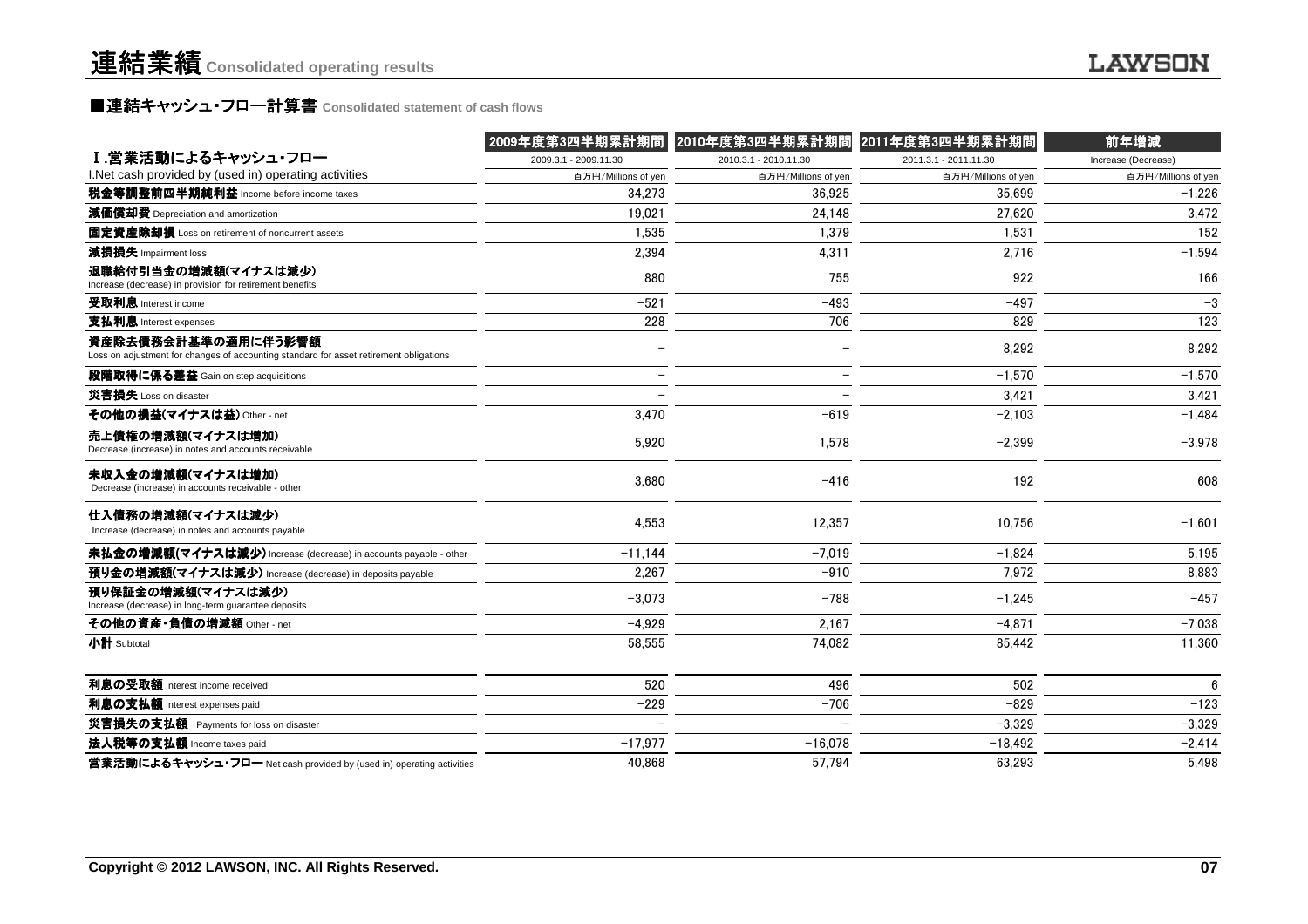### **■連結キャッシュ・フロ一計算書** Consolidated statement of cash flows<br>■

|                                                                                                               | 2009年度第3四半期累計期間       | 2010年度第3四半期累計期間          | 2011年度第3四半期累計期間       | 前年増減                |
|---------------------------------------------------------------------------------------------------------------|-----------------------|--------------------------|-----------------------|---------------------|
| Ⅰ.営業活動によるキャッシュ・フロー                                                                                            | 2009.3.1 - 2009.11.30 | 2010.3.1 - 2010.11.30    | 2011.3.1 - 2011.11.30 | Increase (Decrease) |
| I.Net cash provided by (used in) operating activities                                                         | 百万円/Millions of yen   | 百万円/Millions of yen      | 百万円/Millions of yen   | 百万円/Millions of yen |
| 税金等調整前四半期純利益 Income before income taxes                                                                       | 34.273                | 36.925                   | 35.699                | $-1,226$            |
| 減価償却費 Depreciation and amortization                                                                           | 19,021                | 24,148                   | 27,620                | 3,472               |
| 固定資産除却損 Loss on retirement of noncurrent assets                                                               | 1.535                 | 1.379                    | 1.531                 | 152                 |
| 減損損失 Impairment loss                                                                                          | 2.394                 | 4.311                    | 2,716                 | $-1,594$            |
| 退職給付引当金の増減額(マイナスは減少)<br>Increase (decrease) in provision for retirement benefits                              | 880                   | 755                      | 922                   | 166                 |
| 受取利息 Interest income                                                                                          | $-521$                | $-493$                   | $-497$                | $-3$                |
| 支払利息 Interest expenses                                                                                        | 228                   | 706                      | 829                   | 123                 |
| 資産除去債務会計基準の適用に伴う影響額<br>Loss on adjustment for changes of accounting standard for asset retirement obligations |                       |                          | 8,292                 | 8,292               |
| 段階取得に係る差益 Gain on step acquisitions                                                                           |                       | $\overline{\phantom{0}}$ | $-1,570$              | $-1,570$            |
| 災害損失 Loss on disaster                                                                                         |                       | $\equiv$                 | 3.421                 | 3,421               |
| その他の損益(マイナスは益) Other - net                                                                                    | 3.470                 | $-619$                   | $-2,103$              | $-1,484$            |
| 売上債権の増減額(マイナスは増加)<br>Decrease (increase) in notes and accounts receivable                                     | 5,920                 | 1,578                    | $-2,399$              | $-3,978$            |
| 未収入金の増減額(マイナスは増加)<br>Decrease (increase) in accounts receivable - other                                       | 3,680                 | $-416$                   | 192                   | 608                 |
| 仕入債務の増減額(マイナスは減少)<br>Increase (decrease) in notes and accounts payable                                        | 4.553                 | 12,357                   | 10.756                | $-1,601$            |
| 未払金の増減額(マイナスは減少) Increase (decrease) in accounts payable - other                                              | $-11.144$             | $-7,019$                 | $-1,824$              | 5,195               |
| 預り金の増減額(マイナスは減少) Increase (decrease) in deposits payable                                                      | 2,267                 | $-910$                   | 7,972                 | 8,883               |
| 預り保証金の増減額(マイナスは減少)<br>Increase (decrease) in long-term guarantee deposits                                     | $-3,073$              | $-788$                   | $-1,245$              | $-457$              |
| その他の資産·負債の増減額 Other - net                                                                                     | $-4.929$              | 2,167                    | $-4,871$              | $-7,038$            |
| 小計 Subtotal                                                                                                   | 58,555                | 74,082                   | 85,442                | 11,360              |
| 利息の受取額 Interest income received                                                                               | 520                   | 496                      | 502                   | $6\phantom{1}$      |
| 利息の支払額 Interest expenses paid                                                                                 | $-229$                | $-706$                   | $-829$                | $-123$              |
| 災害損失の支払額 Payments for loss on disaster                                                                        |                       |                          | $-3,329$              | $-3,329$            |
| 法人税等の支払額 Income taxes paid                                                                                    | $-17.977$             | $-16.078$                | $-18,492$             | $-2,414$            |
| 営業活動によるキャッシュ・フロー Net cash provided by (used in) operating activities                                          | 40.868                | 57.794                   | 63,293                | 5.498               |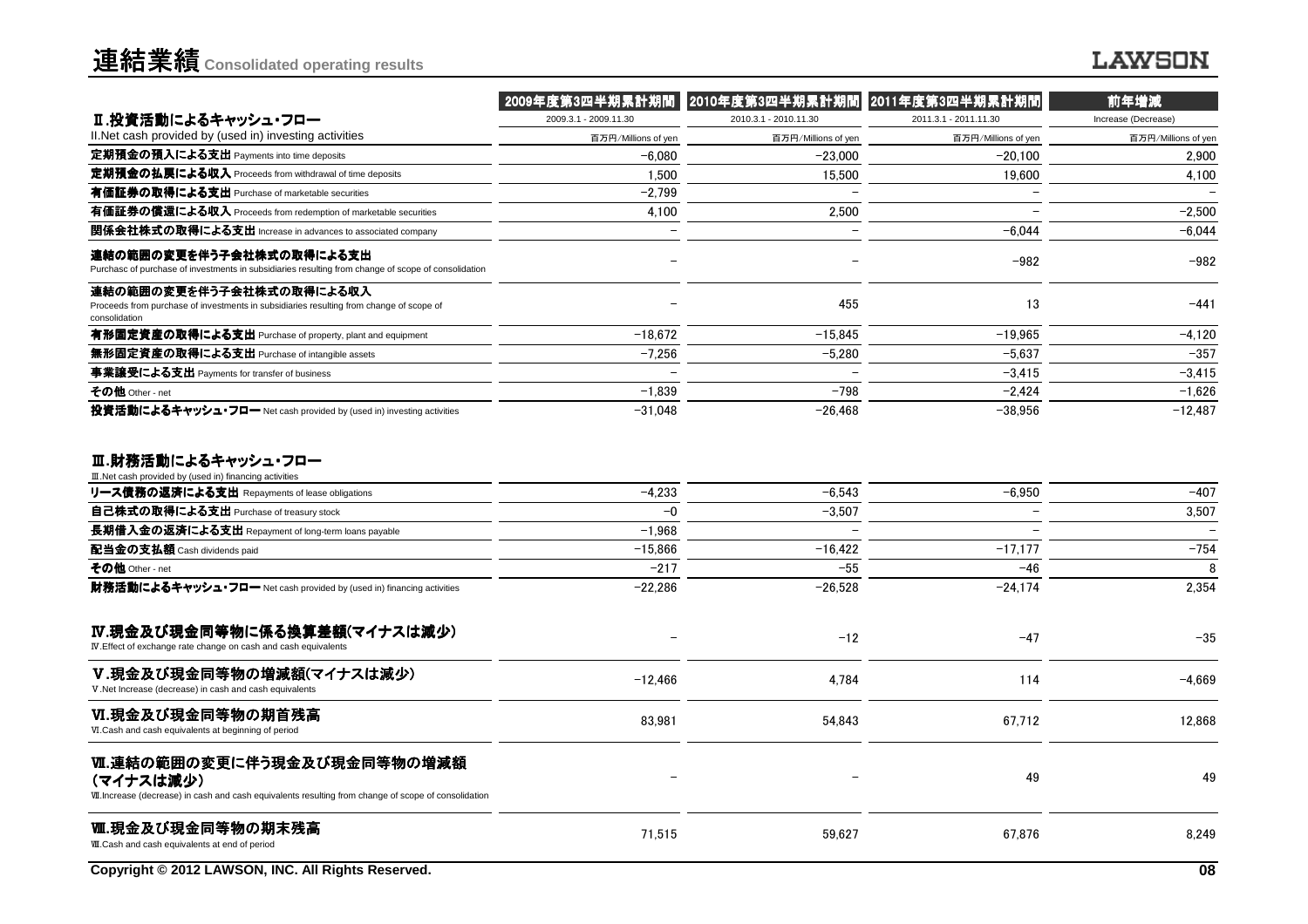### **LAWSON**

|                                                                                                                                                  | 2009年度第3四半期累計期間       | 2010年度第3四半期累計期間       | 2011年度第3四半期累計期間       | 前年増減                |
|--------------------------------------------------------------------------------------------------------------------------------------------------|-----------------------|-----------------------|-----------------------|---------------------|
| Ⅱ.投資活動によるキャッシュ・フロー                                                                                                                               | 2009.3.1 - 2009.11.30 | 2010.3.1 - 2010.11.30 | 2011.3.1 - 2011.11.30 | Increase (Decrease) |
| II. Net cash provided by (used in) investing activities                                                                                          | 百万円/Millions of yen   | 百万円/Millions of yen   | 百万円/Millions of yen   | 百万円/Millions of yen |
| 定期預金の預入による支出 Payments into time deposits                                                                                                         | $-6.080$              | $-23,000$             | $-20,100$             | 2,900               |
| 定期預金の払戻による収入 Proceeds from withdrawal of time deposits                                                                                           | 1.500                 | 15.500                | 19.600                | 4.100               |
| 有価証券の取得による支出 Purchase of marketable securities                                                                                                   | $-2.799$              |                       |                       |                     |
| 有価証券の償還による収入 Proceeds from redemption of marketable securities                                                                                   | 4.100                 | 2.500                 |                       | $-2.500$            |
| 関係会社株式の取得による支出 Increase in advances to associated company                                                                                        |                       |                       | $-6.044$              | $-6.044$            |
| 連結の範囲の変更を伴う子会社株式の取得による支出<br>Purchasc of purchase of investments in subsidiaries resulting from change of scope of consolidation                  |                       |                       | $-982$                | $-982$              |
| 連結の範囲の変更を伴う子会社株式の取得による収入<br>Proceeds from purchase of investments in subsidiaries resulting from change of scope of<br>consolidation             |                       | 455                   | 13                    | $-441$              |
| 有形固定資産の取得による支出 Purchase of property, plant and equipment                                                                                         | $-18.672$             | $-15.845$             | $-19.965$             | $-4.120$            |
| 無形固定資産の取得による支出 Purchase of intangible assets                                                                                                     | $-7.256$              | $-5,280$              | $-5.637$              | $-357$              |
| 事業讓受による支出 Payments for transfer of business                                                                                                      |                       |                       | $-3.415$              | $-3,415$            |
| その他 Other - net                                                                                                                                  | $-1.839$              | $-798$                | $-2.424$              | $-1,626$            |
| 投資活動によるキャッシュ・フロー Net cash provided by (used in) investing activities                                                                             | $-31.048$             | $-26,468$             | $-38,956$             | $-12,487$           |
| Ⅲ.財務活動によるキャッシュ・フロー<br>III. Net cash provided by (used in) financing activities                                                                   |                       |                       |                       |                     |
| リース債務の返済による支出 Repayments of lease obligations                                                                                                    | $-4.233$              | $-6.543$              | $-6.950$              | $-407$              |
| 自己株式の取得による支出 Purchase of treasury stock                                                                                                          | $-0$                  | $-3.507$              |                       | 3,507               |
| 長期借入金の返済による支出 Repayment of long-term loans payable                                                                                               | $-1.968$              |                       |                       |                     |
| 配当金の支払額 Cash dividends paid                                                                                                                      | $-15,866$             | $-16.422$             | $-17.177$             | $-754$              |
| その他 Other - net                                                                                                                                  | $-217$                | $-55$                 | $-46$                 | 8                   |
| 財務活動によるキャッシュ・フロー Net cash provided by (used in) financing activities                                                                             | $-22.286$             | $-26.528$             | $-24,174$             | 2.354               |
| Ⅳ.現金及び現金同等物に係る換算差額(マイナスは減少)<br>IV. Effect of exchange rate change on cash and cash equivalents                                                   |                       | $-12$                 | $-47$                 | $-35$               |
| V.現金及び現金同等物の増減額(マイナスは減少)<br>V.Net Increase (decrease) in cash and cash equivalents                                                               | $-12,466$             | 4,784                 | 114                   | $-4.669$            |
| VI.現金及び現金同等物の期首残高<br>VI.Cash and cash equivalents at beginning of period                                                                         | 83,981                | 54.843                | 67,712                | 12,868              |
| Ⅵ.連結の範囲の変更に伴う現金及び現金同等物の増減額<br>(マイナスは減少)<br>VII. Increase (decrease) in cash and cash equivalents resulting from change of scope of consolidation |                       |                       | 49                    | 49                  |
| Ⅲ.現金及び現金同等物の期末残高<br>WI.Cash and cash equivalents at end of period                                                                                | 71,515                | 59,627                | 67,876                | 8,249               |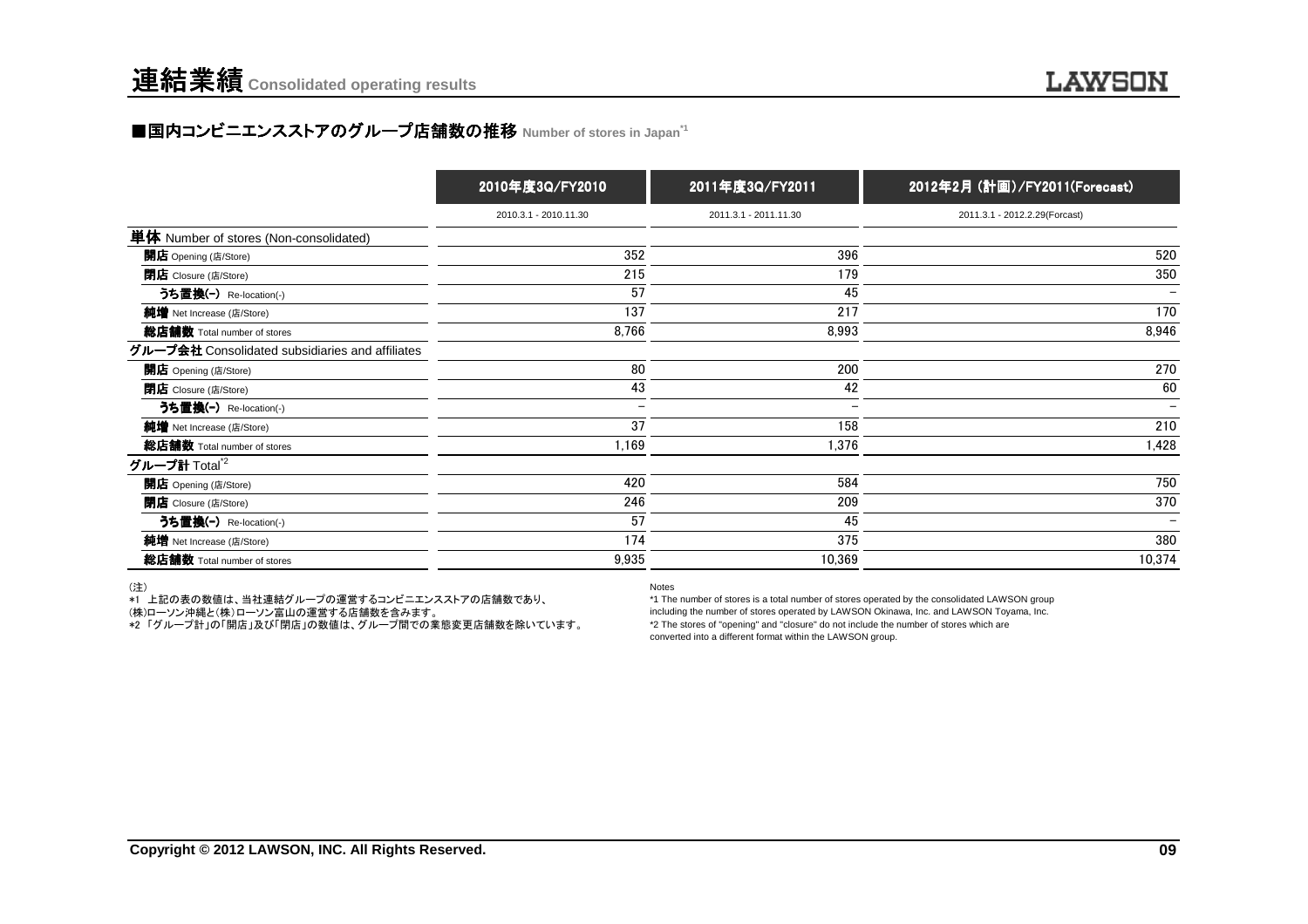### ■国内コンビニエンスストアのグループ店舗数の推移 Number of stores in Japan<sup>→1</sup>

|                                                 | 2010年度3Q/FY2010          | 2011年度3Q/FY2011       | 2012年2月 (計画)/FY2011(Forecast) |
|-------------------------------------------------|--------------------------|-----------------------|-------------------------------|
|                                                 | 2010.3.1 - 2010.11.30    | 2011.3.1 - 2011.11.30 | 2011.3.1 - 2012.2.29(Forcast) |
| 単体 Number of stores (Non-consolidated)          |                          |                       |                               |
| 開店 Opening (店/Store)                            | 352                      | 396                   | 520                           |
| <b>閉店</b> Closure (店/Store)                     | 215                      | 179                   | 350                           |
| うち置換(-) Re-location(-)                          | 57                       | 45                    |                               |
| 純増 Net Increase (店/Store)                       | 137                      | 217                   | 170                           |
| 総店舗数 Total number of stores                     | 8,766                    | 8,993                 | 8,946                         |
| グループ会社 Consolidated subsidiaries and affiliates |                          |                       |                               |
| 開店 Opening (店/Store)                            | 80                       | 200                   | 270                           |
| <b>閉店</b> Closure (店/Store)                     | 43                       | 42                    | 60                            |
| うち置換(-) Re-location(-)                          | $\overline{\phantom{m}}$ |                       |                               |
| 純増 Net Increase (店/Store)                       | 37                       | 158                   | 210                           |
| 総店舗数 Total number of stores                     | 1,169                    | 1,376                 | 1,428                         |
| グループ計 Total <sup>*2</sup>                       |                          |                       |                               |
| 開店 Opening (店/Store)                            | 420                      | 584                   | 750                           |
| <b>閉店</b> Closure (店/Store)                     | 246                      | 209                   | 370                           |
| うち置換(-) Re-location(-)                          | 57                       | 45                    | $\overline{\phantom{m}}$      |
| 純増 Net Increase (店/Store)                       | 174                      | 375                   | 380                           |
| 総店舗数 Total number of stores                     | 9,935                    | 10,369                | 10,374                        |

(注)

\*1 上記の表の数値は、当社連結グループの運営するコンビニエンスストアの店舗数であり、

(株)ローソン沖縄と(株)ローソン富山の運営する店舗数を含みます。

\*2 「グループ計」の「開店」及び「閉店」の数値は、グループ間での業態変更店舗数を除いています。

Notes

 \*1 The number of stores is a total number of stores operated by the consolidated LAWSON group including the number of stores operated by LAWSON Okinawa, Inc. and LAWSON Toyama, Inc.\*2 The stores of "opening" and "closure" do not include the number of stores which areconverted into a different format within the LAWSON group.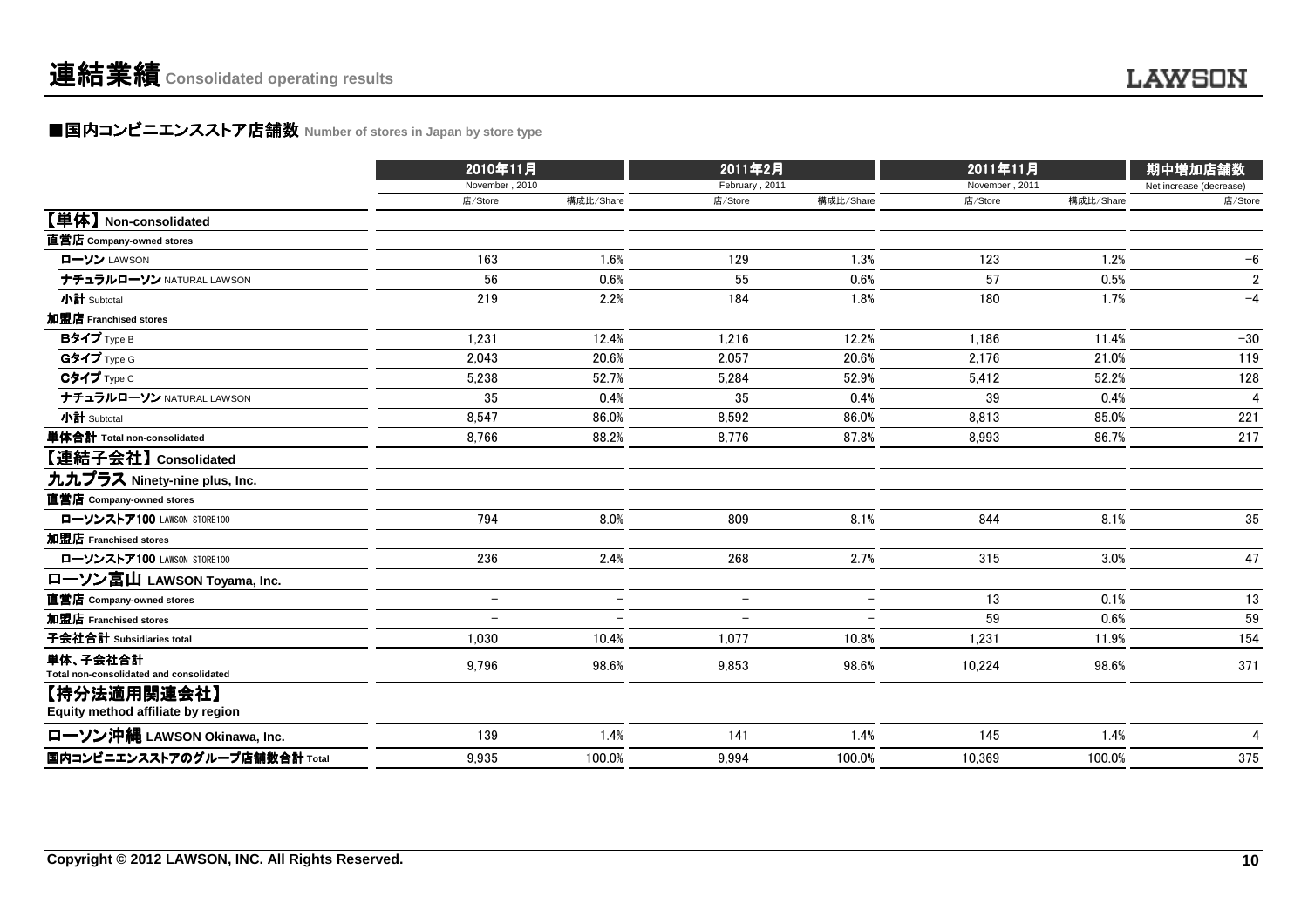### ■国内コンビニエンスストア店舗数 Number of stores in Japan by store type<br> **■国内コンビニエンスストア店舗数** Number of stores in Japan by store type

|                                                     | 2010年11月                 |                          | 2011年2月                  |                          | 2011年11月       |           | 期中増加店舗数                 |
|-----------------------------------------------------|--------------------------|--------------------------|--------------------------|--------------------------|----------------|-----------|-------------------------|
|                                                     | November, 2010           |                          | February, 2011           |                          | November, 2011 |           | Net increase (decrease) |
|                                                     | 店/Store                  | 構成比/Share                | 店/Store                  | 構成比/Share                | 店/Store        | 構成比/Share | 店/Store                 |
| 【単体】 Non-consolidated                               |                          |                          |                          |                          |                |           |                         |
| 直営店 Company-owned stores                            |                          |                          |                          |                          |                |           |                         |
| ローソン LAWSON                                         | 163                      | 1.6%                     | 129                      | 1.3%                     | 123            | 1.2%      | $-6$                    |
| ナチュラルローソン NATURAL LAWSON                            | 56                       | 0.6%                     | 55                       | 0.6%                     | 57             | 0.5%      | $\overline{2}$          |
| 小計 Subtotal                                         | 219                      | 2.2%                     | 184                      | 1.8%                     | 180            | 1.7%      | $-4$                    |
| 加盟店 Franchised stores                               |                          |                          |                          |                          |                |           |                         |
| Bタイプ Type B                                         | 1,231                    | 12.4%                    | 1.216                    | 12.2%                    | 1,186          | 11.4%     | $-30$                   |
| Gタイプ Type G                                         | 2,043                    | 20.6%                    | 2,057                    | 20.6%                    | 2.176          | 21.0%     | 119                     |
| Cタイプ Type C                                         | 5,238                    | 52.7%                    | 5,284                    | 52.9%                    | 5,412          | 52.2%     | 128                     |
| ナチュラルローソン NATURAL LAWSON                            | 35                       | 0.4%                     | 35                       | 0.4%                     | 39             | 0.4%      | 4                       |
| 小計 Subtotal                                         | 8,547                    | 86.0%                    | 8,592                    | 86.0%                    | 8,813          | 85.0%     | 221                     |
| 単体合計 Total non-consolidated                         | 8.766                    | 88.2%                    | 8,776                    | 87.8%                    | 8.993          | 86.7%     | 217                     |
| 【連結子会社】 Consolidated                                |                          |                          |                          |                          |                |           |                         |
| 九九プラス Ninety-nine plus, Inc.                        |                          |                          |                          |                          |                |           |                         |
| 直営店 Company-owned stores                            |                          |                          |                          |                          |                |           |                         |
| ローソンストア100 LAWSON STORE100                          | 794                      | 8.0%                     | 809                      | 8.1%                     | 844            | 8.1%      | 35                      |
| 加盟店 Franchised stores                               |                          |                          |                          |                          |                |           |                         |
| ローソンストア100 LAWSON STORE100                          | 236                      | 2.4%                     | 268                      | 2.7%                     | 315            | 3.0%      | 47                      |
| ローソン富山 LAWSON Toyama, Inc.                          |                          |                          |                          |                          |                |           |                         |
| 直営店 Company-owned stores                            | $\overline{\phantom{m}}$ | $\overline{\phantom{0}}$ | $\overline{\phantom{m}}$ | $\overline{\phantom{a}}$ | 13             | 0.1%      | 13                      |
| 加盟店 Franchised stores                               |                          |                          | $\overline{\phantom{0}}$ |                          | 59             | 0.6%      | 59                      |
| 子会社合計 Subsidiaries total                            | 1,030                    | 10.4%                    | 1,077                    | 10.8%                    | 1,231          | 11.9%     | 154                     |
| 単体、子会社合計<br>Total non-consolidated and consolidated | 9,796                    | 98.6%                    | 9,853                    | 98.6%                    | 10,224         | 98.6%     | 371                     |
| 【持分法適用関連会社】<br>Equity method affiliate by region    |                          |                          |                          |                          |                |           |                         |
| ローソン沖縄 LAWSON Okinawa, Inc.                         | 139                      | 1.4%                     | 141                      | 1.4%                     | 145            | 1.4%      | 4                       |
| 国内コンビニエンスストアのグループ店舗数合計 Total                        | 9,935                    | 100.0%                   | 9.994                    | 100.0%                   | 10.369         | 100.0%    | 375                     |
|                                                     |                          |                          |                          |                          |                |           |                         |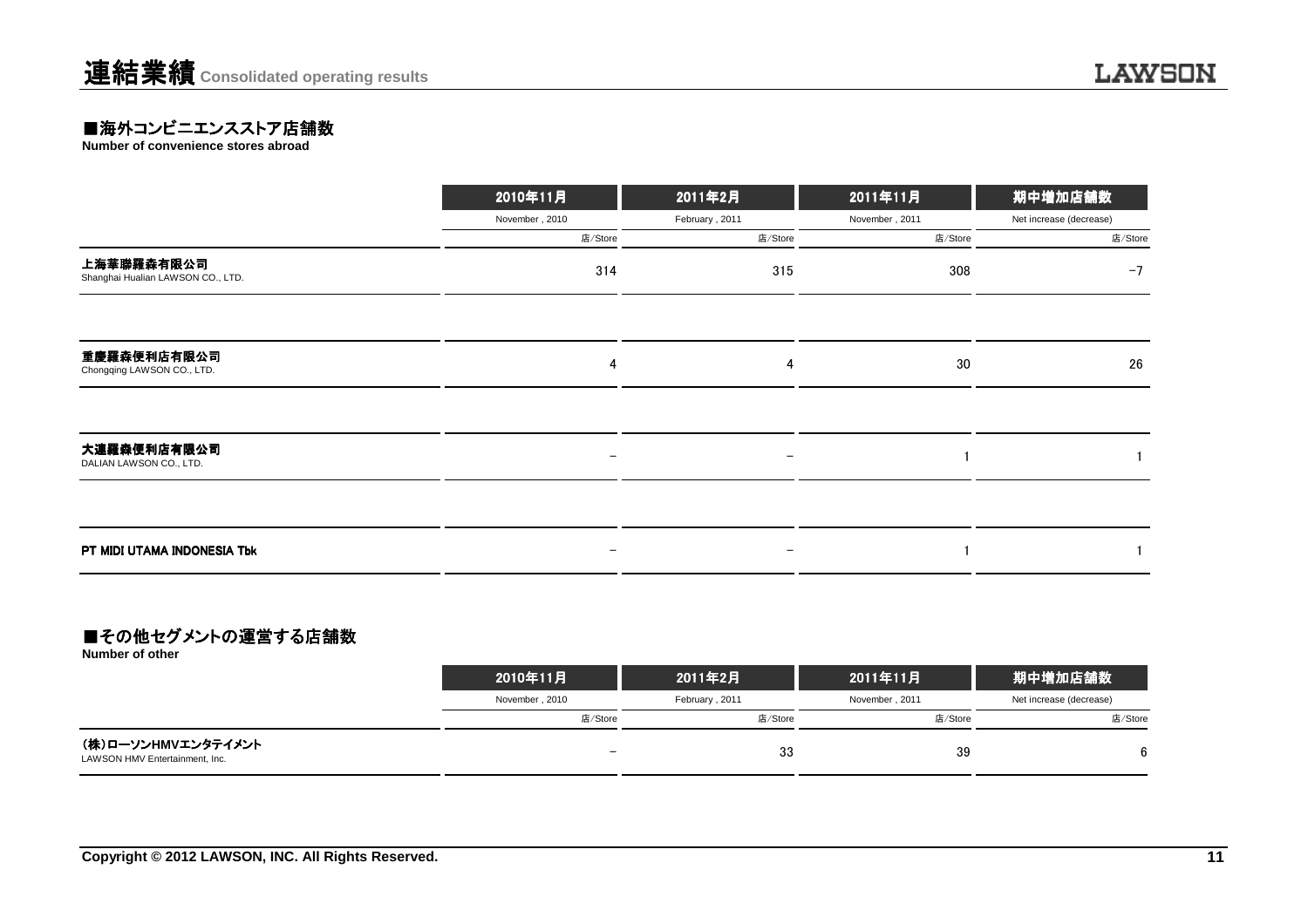### ■海外コンビニエンスストア店舗数<br>Number of convenience stores abroad

**Number of convenience stores abroad**

|                                                 | 2010年11月                 | 2011年2月           | 2011年11月       | 期中増加店舗数                 |
|-------------------------------------------------|--------------------------|-------------------|----------------|-------------------------|
|                                                 | November, 2010           | February, 2011    | November, 2011 | Net increase (decrease) |
|                                                 | 店/Store                  | 店/Store           | 店/Store        | 店/Store                 |
| 上海華聯羅森有限公司<br>Shanghai Hualian LAWSON CO., LTD. | 314                      | 315               | 308            | $-7$                    |
|                                                 |                          |                   |                |                         |
| 重慶羅森便利店有限公司<br>Chongqing LAWSON CO., LTD.       | 4                        | 4                 | 30             | 26                      |
|                                                 |                          |                   |                |                         |
| 大連羅森便利店有限公司<br>DALIAN LAWSON CO., LTD.          | $\qquad \qquad -$        | $\qquad \qquad -$ |                |                         |
|                                                 |                          |                   |                |                         |
| PT MIDI UTAMA INDONESIA Tbk                     | $\overline{\phantom{0}}$ | $\qquad \qquad -$ |                |                         |

### ■その他セグメントの運営する店舗数

**Number of other**

|                                                      | 2010年11月                 | 2011年2月        | 2011年11月       | 期中増加店舗数                 |  |
|------------------------------------------------------|--------------------------|----------------|----------------|-------------------------|--|
|                                                      | November, 2010           | February, 2011 | November, 2011 | Net increase (decrease) |  |
|                                                      | 店/Store                  | 店/Store        | 店/Store        | 店/Store                 |  |
| (株)ローソンHMVエンタテイメント<br>LAWSON HMV Entertainment, Inc. | $\overline{\phantom{0}}$ | 33             | 39             | 6                       |  |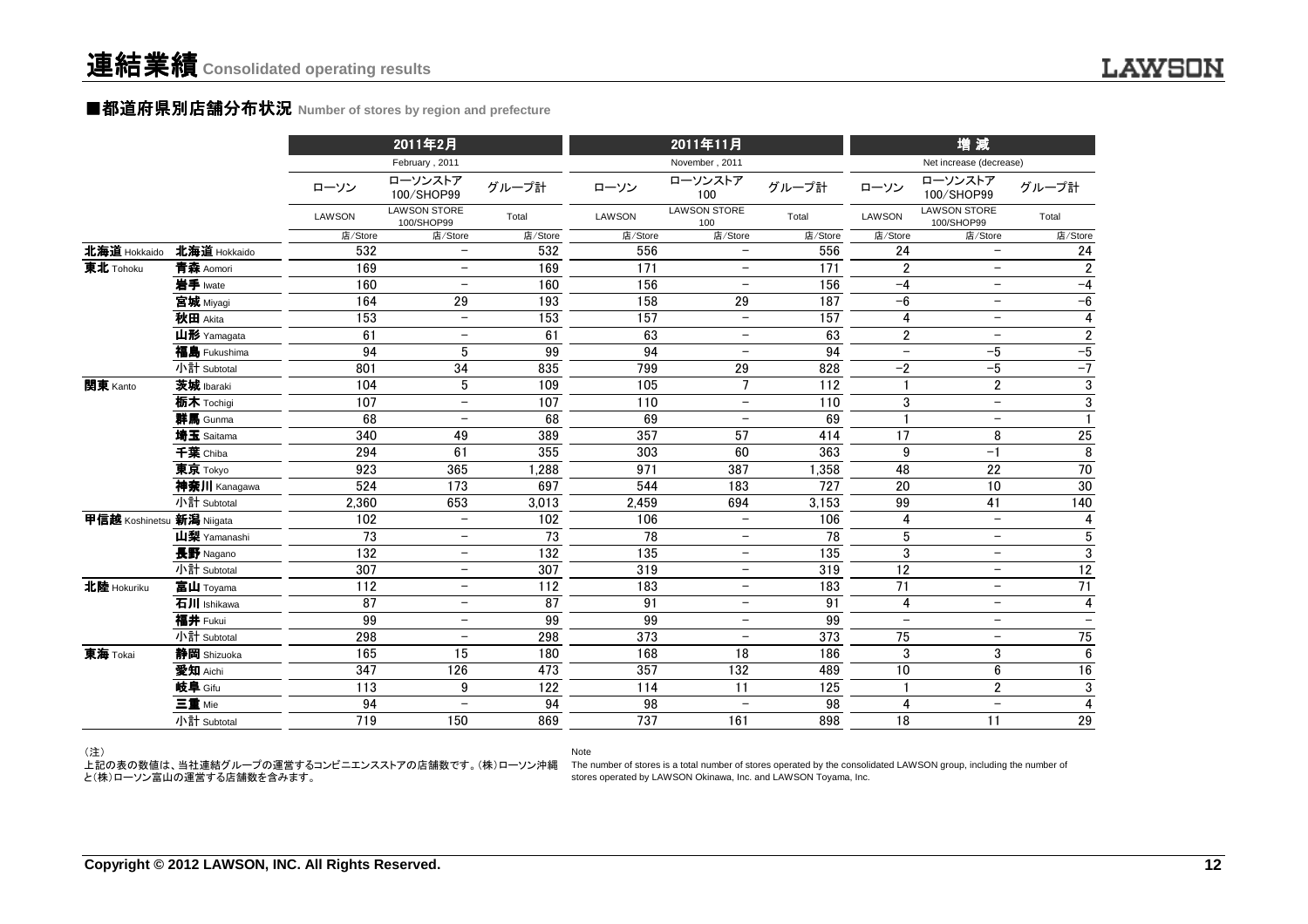#### ■都道府県別店舗分布状況 Number of stores by region and prefecture

|                           |              |         | 2011年2月                           |                 |                 | 2011年11月                   |                 |                          | 增減                                |                          |
|---------------------------|--------------|---------|-----------------------------------|-----------------|-----------------|----------------------------|-----------------|--------------------------|-----------------------------------|--------------------------|
|                           |              |         | February, 2011                    |                 |                 | November, 2011             |                 |                          | Net increase (decrease)           |                          |
|                           |              | ローソン    | ローソンストア<br>100/SHOP99             | グループ計           | ローソン            | ローソンストア<br>100             | グループ計           | ローソン                     | ローソンストア<br>100/SHOP99             | グループ計                    |
|                           |              | LAWSON  | <b>LAWSON STORE</b><br>100/SHOP99 | Total           | LAWSON          | <b>LAWSON STORE</b><br>100 | Total           | LAWSON                   | <b>LAWSON STORE</b><br>100/SHOP99 | Total                    |
|                           |              | 店/Store | 店/Store                           | 店/Store         | 店/Store         | 店/Store                    | 店/Store         | 店/Store                  | 店/Store                           | 店/Store                  |
| 北海道 Hokkaido              | 北海道 Hokkaido | 532     | $\overline{\phantom{0}}$          | 532             | 556             | $\overline{\phantom{0}}$   | 556             | 24                       | $\overline{\phantom{0}}$          | 24                       |
| 東北 Tohoku                 | 青森 Aomori    | 169     |                                   | 169             | 171             | $\qquad \qquad -$          | 171             | $\overline{2}$           | $\qquad \qquad -$                 | $\boldsymbol{2}$         |
|                           | 岩手 Iwate     | 160     | $\overline{\phantom{m}}$          | 160             | 156             | $\qquad \qquad -$          | 156             | $-4$                     | $\qquad \qquad -$                 | $-4$                     |
|                           | 宮城 Miyagi    | 164     | 29                                | 193             | 158             | 29                         | 187             | $-6$                     | $\qquad \qquad -$                 | $-6$                     |
|                           | 秋田 Akita     | 153     | $\qquad \qquad -$                 | 153             | 157             | $\overline{\phantom{a}}$   | 157             | 4                        | $\qquad \qquad -$                 | $\pmb{4}$                |
|                           | 山形 Yamagata  | 61      | $\overline{\phantom{0}}$          | 61              | 63              | $\overline{\phantom{0}}$   | 63              | $\overline{\mathbf{c}}$  | $\overline{\phantom{0}}$          | $\boldsymbol{2}$         |
|                           | 福島 Fukushima | 94      | 5                                 | 99              | 94              | $\overline{\phantom{m}}$   | 94              | $\overline{\phantom{0}}$ | $-5$                              | $-5$                     |
|                           | 小計 Subtotal  | 801     | 34                                | 835             | 799             | 29                         | 828             | $-2$                     | $-5$                              | $-7$                     |
| 関東 Kanto                  | 茨城 Ibaraki   | 104     | 5                                 | 109             | 105             | $\overline{7}$             | 112             |                          | $\overline{2}$                    | $\overline{3}$           |
|                           | 栃木 Tochigi   | 107     | $\overline{\phantom{0}}$          | 107             | 110             | $\overline{\phantom{a}}$   | 110             | 3                        | $\overline{\phantom{a}}$          | $\overline{3}$           |
|                           | 群馬 Gunma     | 68      |                                   | 68              | 69              | $\overline{\phantom{m}}$   | 69              |                          | $\overline{\phantom{0}}$          | $\mathbf{1}$             |
|                           | 埼玉 Saitama   | 340     | 49                                | 389             | 357             | 57                         | 414             | 17                       | 8                                 | 25                       |
|                           | 千葉 Chiba     | 294     | 61                                | 355             | 303             | 60                         | 363             | 9                        | $-1$                              | 8                        |
|                           | 東京 Tokyo     | 923     | 365                               | ,288            | 971             | 387                        | 1,358           | 48                       | 22                                | 70                       |
|                           | 神奈川 Kanagawa | 524     | 173                               | 697             | 544             | 183                        | 727             | 20                       | 10                                | 30                       |
|                           | 小計 Subtotal  | 2,360   | 653                               | 3,013           | 2,459           | 694                        | 3,153           | 99                       | 41                                | 140                      |
| 甲信越 Koshinetsu 新潟 Niigata |              | 102     | $\overline{\phantom{0}}$          | 102             | 106             | $\overline{\phantom{a}}$   | 106             | 4                        | $\overline{\phantom{m}}$          | 4                        |
|                           | 山梨 Yamanashi | 73      | $\qquad \qquad -$                 | 73              | 78              | $\overline{\phantom{a}}$   | 78              | 5                        | $\qquad \qquad -$                 | $\sqrt{5}$               |
|                           | 長野 Nagano    | 132     | $\qquad \qquad -$                 | 132             | 135             | $\overline{\phantom{m}}$   | 135             | 3                        | $\overline{\phantom{0}}$          | $\mathbf 3$              |
|                           | 小計 Subtotal  | 307     | $\qquad \qquad -$                 | 307             | 319             | $\qquad \qquad -$          | 319             | 12                       | $\qquad \qquad -$                 | $\overline{12}$          |
| 北陸 Hokuriku               | 富山 Toyama    | 112     | $\overline{\phantom{0}}$          | 112             | 183             | $\overline{\phantom{0}}$   | 183             | 71                       | $\overline{\phantom{0}}$          | 71                       |
|                           | 石川 Ishikawa  | 87      | $\qquad \qquad -$                 | $\overline{87}$ | $\overline{91}$ | $\overline{\phantom{m}}$   | $\overline{91}$ | $\overline{4}$           | $\overline{\phantom{a}}$          | $\overline{4}$           |
|                           | 福井 Fukui     | 99      | $\overline{\phantom{0}}$          | 99              | 99              | $\overline{\phantom{m}}$   | 99              | $\overline{\phantom{0}}$ | $\overline{\phantom{0}}$          | $\overline{\phantom{0}}$ |
|                           | 小計 Subtotal  | 298     | $\qquad \qquad -$                 | 298             | 373             | $\overline{\phantom{a}}$   | 373             | 75                       | $\qquad \qquad -$                 | 75                       |
| 東海 Tokai                  | 静岡 Shizuoka  | 165     | 15                                | 180             | 168             | 18                         | 186             | 3                        | 3                                 | $\overline{6}$           |
|                           | 愛知 Aichi     | 347     | 126                               | 473             | 357             | 132                        | 489             | 10                       | 6                                 | $\overline{16}$          |
|                           | 岐阜 Gifu      | 113     | 9                                 | 122             | 114             | 11                         | 125             |                          | $\overline{2}$                    | $\overline{3}$           |
|                           | 三重 Mie       | 94      | $\qquad \qquad -$                 | 94              | 98              | $\overline{\phantom{m}}$   | 98              | 4                        | $\overline{\phantom{m}}$          | $\overline{4}$           |
|                           | 小計 Subtotal  | 719     | 150                               | 869             | 737             | 161                        | 898             | 18                       | 11                                | 29                       |
|                           |              |         |                                   |                 |                 |                            |                 |                          |                                   |                          |

Note

(注)

ー...<br>と(株)ローソン富山の運営する店舗数を含みます。

上記の表の数値は、当社連結グループの運営するコンビニエンスストアの店舗数です。(株)ローソン沖縄 The number of stores is a total number of stores operated by the consolidated LAWSON group, including the number of stores operated by LAWSON Okinawa, Inc. and LAWSON Toyama, Inc.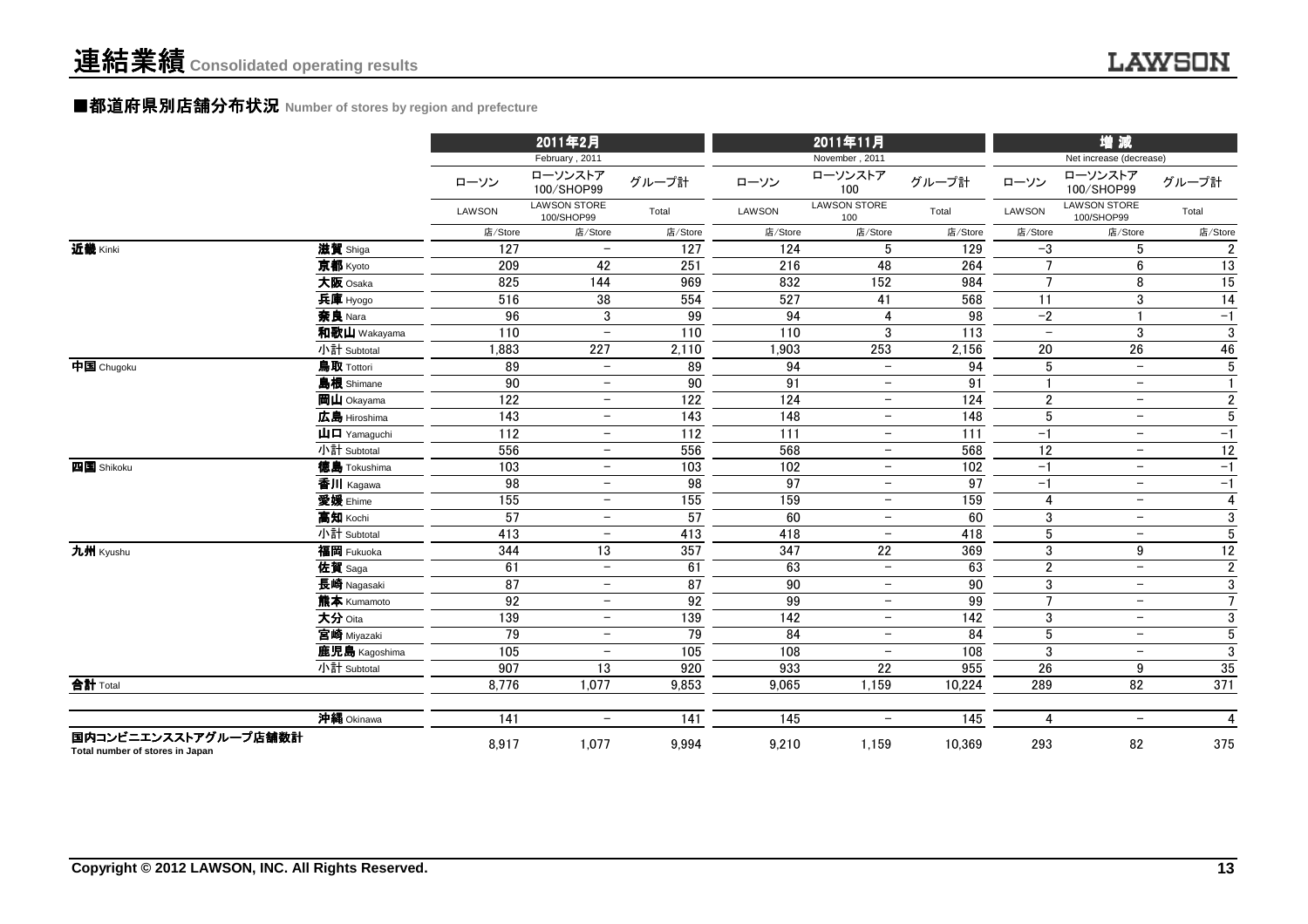#### ■都道府県別店舗分布状況 Number of stores by region and prefecture

|                                                         |                                        |                  | 2011年2月                           |                  |                  | 2011年11月                   |                  |                          | 増減                                |                         |  |
|---------------------------------------------------------|----------------------------------------|------------------|-----------------------------------|------------------|------------------|----------------------------|------------------|--------------------------|-----------------------------------|-------------------------|--|
|                                                         |                                        |                  | February, 2011                    |                  |                  | November, 2011             |                  |                          | Net increase (decrease)           |                         |  |
|                                                         |                                        | ローソン             | ローソンストア<br>100/SHOP99             | グループ計            | ローソン             | ローソンストア<br>100             | グループ計            | ローソン                     | ローソンストア<br>100/SHOP99             | グループ計                   |  |
|                                                         |                                        | LAWSON           | <b>LAWSON STORE</b><br>100/SHOP99 | Total            | <b>LAWSON</b>    | <b>LAWSON STORE</b><br>100 | Total            | <b>LAWSON</b>            | <b>LAWSON STORE</b><br>100/SHOP99 | Total                   |  |
|                                                         |                                        | 店/Store          | 店/Store                           | 店/Store          | 店/Store          | 店/Store                    | 店/Store          | 店/Store                  | 店/Store                           | 店/Store                 |  |
| 近畿 Kinki                                                | 滋賀 Shiga                               | 127              | $\overline{\phantom{0}}$          | 127              | 124              | 5                          | 129              | $-3$                     | 5                                 | $\overline{2}$          |  |
|                                                         | 京都 Kyoto                               | 209              | 42                                | 251              | 216              | 48                         | 264              | $\overline{7}$           | 6                                 | $\overline{13}$         |  |
|                                                         | 大阪 Osaka                               | 825              | 144                               | 969              | 832              | 152                        | 984              | $\overline{7}$           | 8                                 | 15                      |  |
|                                                         | 兵庫 Hyogo                               | 516              | 38                                | 554              | 527              | 41                         | 568              | 11                       | $\sqrt{3}$                        | 14                      |  |
|                                                         | 奈良 Nara                                | 96               | 3                                 | 99               | 94               | 4                          | $\overline{98}$  | $-2$                     |                                   | $-1$                    |  |
|                                                         | 和歌山 Wakayama                           | $\overline{110}$ | $\overline{\phantom{0}}$          | $\overline{110}$ | 110              | 3                          | $\overline{113}$ | $\overline{\phantom{0}}$ | 3                                 | $\overline{3}$          |  |
|                                                         | 小計 Subtotal                            | 1,883            | 227                               | 2,110            | 1,903            | 253                        | 2,156            | 20                       | $\overline{26}$                   | 46                      |  |
| 中国 Chugoku                                              | 鳥取 Tottori                             | 89               | $-$                               | 89               | 94               | $\overline{\phantom{0}}$   | 94               | $\sqrt{5}$               | $-$                               | $\overline{5}$          |  |
|                                                         | <b>島根</b> Shimane                      | 90               | $\qquad \qquad -$                 | 90               | 91               | $\qquad \qquad -$          | 91               | $\mathbf{1}$             | $\overline{\phantom{m}}$          | $\mathbf{1}$            |  |
|                                                         | 岡山 Okayama                             | 122              | $\qquad \qquad -$                 | 122              | 124              | $\qquad \qquad -$          | 124              | $\boldsymbol{2}$         | $\overline{\phantom{m}}$          | $\overline{2}$          |  |
|                                                         | 広島 Hiroshima                           | 143              | $\qquad \qquad -$                 | $\frac{143}{2}$  | 148              | $\qquad \qquad -$          | $\overline{148}$ | $\overline{5}$           | $\overline{\phantom{m}}$          | $\overline{5}$          |  |
|                                                         | $\mathbf{u}$ $\mathbf{\Box}$ Yamaquchi | $\overline{112}$ | $\qquad \qquad -$                 | $\overline{112}$ | 111              | $\qquad \qquad -$          | 111              | $-1$                     | $\overline{\phantom{m}}$          | $-1$                    |  |
|                                                         | 小計 Subtotal                            | 556              | $\qquad \qquad -$                 | 556              | 568              | $\qquad \qquad -$          | 568              | $\overline{12}$          | $\overline{\phantom{m}}$          | $\overline{12}$         |  |
| 四国 Shikoku                                              | 徳島 Tokushima                           | $\frac{103}{ }$  | $-$                               | $\frac{103}{2}$  | 102              | $\overline{\phantom{0}}$   | 102              | $-1$                     | $\overline{\phantom{m}}$          | $-1$                    |  |
|                                                         | 香川 Kagawa                              | 98               | $\qquad \qquad -$                 | 98               | 97               | $\qquad \qquad -$          | 97               | $-1$                     | $\overline{\phantom{m}}$          | $-1$                    |  |
|                                                         | <b>愛媛</b> Ehime                        | 155              | $-$                               | 155              | 159              | $-$                        | 159              | $\overline{4}$           | $\overline{\phantom{0}}$          | $\overline{\mathbf{4}}$ |  |
|                                                         | 高知 Kochi                               | 57               | $\qquad \qquad -$                 | $\overline{57}$  | 60               | $\overline{\phantom{0}}$   | 60               | 3                        | $\overline{\phantom{m}}$          | $\mathbf{3}$            |  |
|                                                         | 小計 Subtotal                            | 413              | $\overline{\phantom{a}}$          | 413              | 418              | $\overline{\phantom{0}}$   | $\overline{418}$ | $\overline{5}$           | $\overline{\phantom{0}}$          | $\overline{5}$          |  |
| 九州 Kyushu                                               | 福岡 Fukuoka                             | 344              | $\overline{13}$                   | 357              | $\overline{347}$ | $\overline{22}$            | 369              | $\mathfrak{3}$           | 9                                 | $\overline{12}$         |  |
|                                                         | 佐賀 Saga                                | 61               | $\overline{\phantom{a}}$          | 61               | 63               | $\overline{\phantom{0}}$   | 63               | $\boldsymbol{2}$         | $\overline{\phantom{0}}$          | $\overline{2}$          |  |
|                                                         | 長崎 Nagasaki                            | 87               | $\qquad \qquad -$                 | 87               | 90               | $\overline{\phantom{0}}$   | 90               | $\mathfrak{3}$           | $\overline{\phantom{m}}$          | 3                       |  |
|                                                         | 熊本 Kumamoto                            | 92               | $\overline{\phantom{0}}$          | 92               | 99               | $\overline{\phantom{0}}$   | 99               | $\overline{7}$           | $\overline{\phantom{m}}$          | $7\overline{ }$         |  |
|                                                         | 大分 Oita                                | 139              | $\overline{\phantom{a}}$          | 139              | 142              | $\overline{\phantom{0}}$   | 142              | $\mathfrak{3}$           | $\overline{\phantom{a}}$          | $\mathbf{3}$            |  |
|                                                         | 宮崎 Miyazaki                            | 79               | $\qquad \qquad -$                 | 79               | 84               | $-$                        | 84               | $\sqrt{5}$               | $\overline{\phantom{0}}$          | $\sqrt{5}$              |  |
|                                                         | 鹿児島 Kagoshima                          | 105              | $\qquad \qquad -$                 | 105              | 108              | $\overline{\phantom{0}}$   | 108              | 3                        | $\overline{\phantom{0}}$          | $\mathbf{3}$            |  |
|                                                         | 小計 Subtotal                            | 907              | 13                                | 920              | 933              | 22                         | 955              | 26                       | 9                                 | 35                      |  |
| 合計 Total                                                |                                        | 8,776            | 1,077                             | 9,853            | 9,065            | 1,159                      | 10,224           | 289                      | 82                                | 371                     |  |
|                                                         | 沖縄 Okinawa                             | 141              | $\qquad \qquad -$                 | 141              | 145              | $-$                        | 145              | $\overline{4}$           | $\overline{\phantom{m}}$          | $\overline{4}$          |  |
| 国内コンビニエンスストアグループ店舗数計<br>Total number of stores in Japan |                                        | 8,917            | 1,077                             | 9,994            | 9,210            | 1,159                      | 10,369           | 293                      | 82                                | 375                     |  |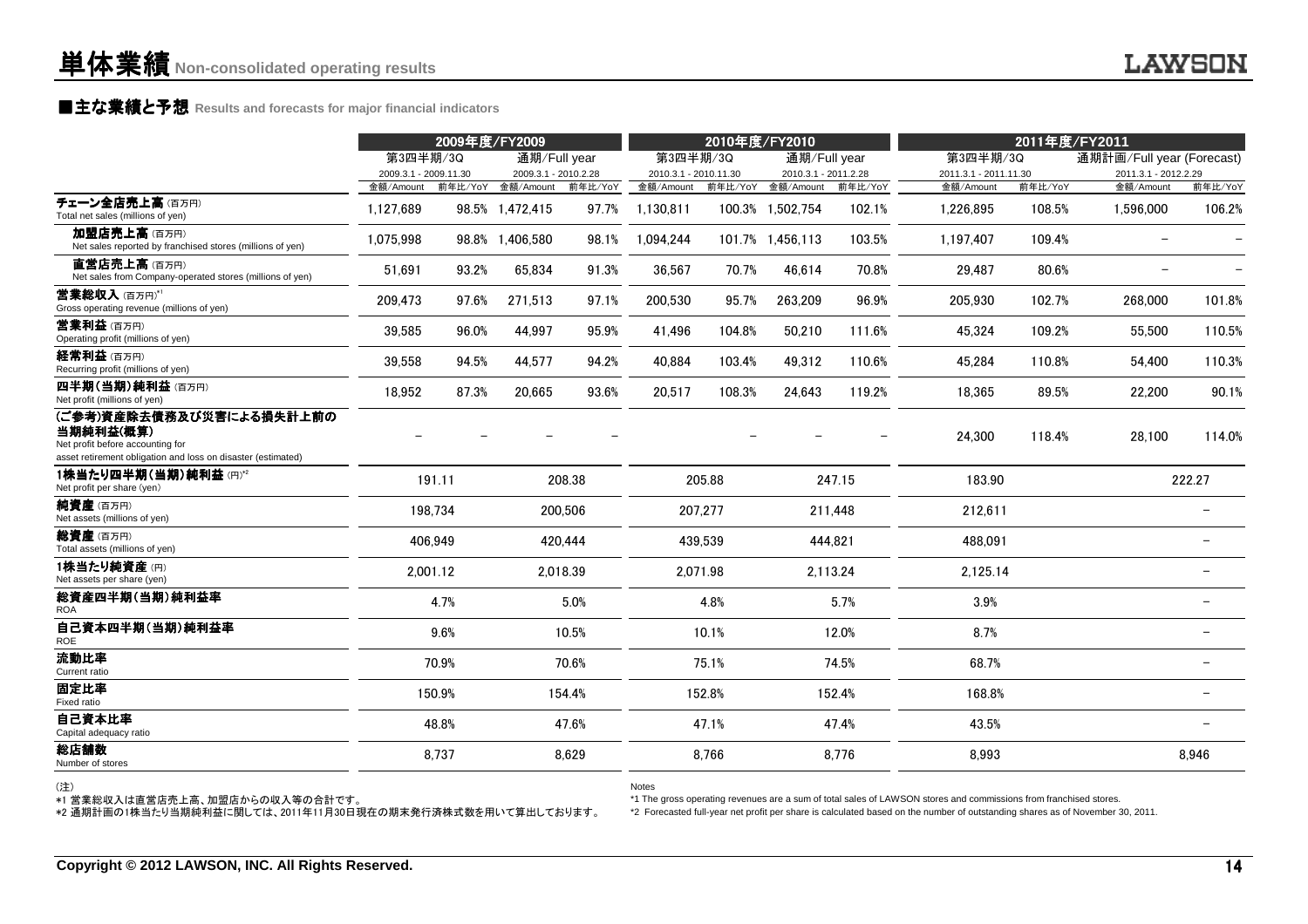### **■主な業績と予想** Results and forecasts for major financial indicators<br>
————————————————————

|                                                                                                                                           |                       | 2009年度/FY2009 |                      |          | 2010年度/FY2010         |         |                      | 2011年度/FY2011 |                       |         |                           |                          |
|-------------------------------------------------------------------------------------------------------------------------------------------|-----------------------|---------------|----------------------|----------|-----------------------|---------|----------------------|---------------|-----------------------|---------|---------------------------|--------------------------|
|                                                                                                                                           | 第3四半期/3Q              |               | 通期/Full year         |          | 第3四半期/3Q              |         | 通期/Full year         |               | 第3四半期/3Q              |         | 通期計画/Full year (Forecast) |                          |
|                                                                                                                                           | 2009.3.1 - 2009.11.30 |               | 2009.3.1 - 2010.2.28 |          | 2010.3.1 - 2010.11.30 |         | 2010.3.1 - 2011.2.28 |               | 2011.3.1 - 2011.11.30 |         | 2011.3.1 - 2012.2.29      |                          |
|                                                                                                                                           | 金額/Amount             |               | 前年比/YoY 金額/Amount    | 前年比/YoY  | 金額/Amount             |         | 前年比/YoY 金額/Amount    | 前年比/YoY       | 金額/Amount             | 前年比/YoY | 金額/Amount                 | 前年比/YoY                  |
| チェーン全店売上高(百万円)<br>Total net sales (millions of yen)                                                                                       | 1,127,689             |               | 98.5% 1,472,415      | 97.7%    | 1,130,811             |         | 100.3% 1,502,754     | 102.1%        | 1,226,895             | 108.5%  | 1,596,000                 | 106.2%                   |
| 加盟店売上高(百万円)<br>Net sales reported by franchised stores (millions of yen)                                                                  | 1,075,998             | 98.8%         | 1,406,580            | 98.1%    | 1,094,244             |         | 101.7% 1.456,113     | 103.5%        | 1,197,407             | 109.4%  |                           |                          |
| 直営店売上高(百万円)<br>Net sales from Company-operated stores (millions of yen)                                                                   | 51,691                | 93.2%         | 65,834               | 91.3%    | 36,567                | 70.7%   | 46,614               | 70.8%         | 29,487                | 80.6%   |                           |                          |
| 営業総収入(百万円)*1<br>Gross operating revenue (millions of yen)                                                                                 | 209,473               | 97.6%         | 271,513              | 97.1%    | 200,530               | 95.7%   | 263,209              | 96.9%         | 205,930               | 102.7%  | 268,000                   | 101.8%                   |
| 营業利益(百万円)<br>Operating profit (millions of yen)                                                                                           | 39,585                | 96.0%         | 44,997               | 95.9%    | 41,496                | 104.8%  | 50,210               | 111.6%        | 45,324                | 109.2%  | 55,500                    | 110.5%                   |
| 経常利益 (百万円)<br>Recurring profit (millions of yen)                                                                                          | 39,558                | 94.5%         | 44,577               | 94.2%    | 40,884                | 103.4%  | 49,312               | 110.6%        | 45,284                | 110.8%  | 54,400                    | 110.3%                   |
| 四半期(当期)純利益(百万円)<br>Net profit (millions of yen)                                                                                           | 18,952                | 87.3%         | 20,665               | 93.6%    | 20,517                | 108.3%  | 24,643               | 119.2%        | 18,365                | 89.5%   | 22,200                    | 90.1%                    |
| (ご参考)資産除去債務及び災害による損失計上前の<br>当期純利益(概算)<br>Net profit before accounting for<br>asset retirement obligation and loss on disaster (estimated) |                       |               |                      |          |                       |         |                      |               | 24,300                | 118.4%  | 28,100                    | 114.0%                   |
| 1株当たり四半期(当期)純利益(円)*2<br>Net profit per share (yen)                                                                                        |                       | 191.11        |                      | 208.38   |                       | 205.88  |                      | 247.15        | 183.90                |         |                           | 222.27                   |
| 純資産(百万円)<br>Net assets (millions of yen)                                                                                                  |                       | 198,734       |                      | 200,506  |                       | 207,277 |                      | 211,448       | 212,611               |         |                           |                          |
| <b>総資産</b> (百万円)<br>Total assets (millions of yen)                                                                                        |                       | 406,949       |                      | 420,444  |                       | 439,539 |                      | 444,821       | 488,091               |         |                           |                          |
| 1株当たり純資産(円)<br>Net assets per share (yen)                                                                                                 |                       | 2,001.12      |                      | 2,018.39 | 2,071.98              |         |                      | 2,113.24      | 2,125.14              |         |                           |                          |
| 総資産四半期(当期)純利益率<br><b>ROA</b>                                                                                                              |                       | 4.7%          |                      | 5.0%     |                       | 4.8%    |                      | 5.7%          | 3.9%                  |         |                           | $\overline{\phantom{0}}$ |
| 自己資本四半期(当期)純利益率<br><b>ROE</b>                                                                                                             |                       | 9.6%          |                      | 10.5%    |                       | 10.1%   |                      | 12.0%         | 8.7%                  |         |                           |                          |
| 流動比率<br>Current ratio                                                                                                                     |                       | 70.9%         |                      | 70.6%    |                       | 75.1%   |                      | 74.5%         | 68.7%                 |         |                           |                          |
| 固定比率<br>Fixed ratio                                                                                                                       |                       | 150.9%        |                      | 154.4%   |                       | 152.8%  |                      | 152.4%        | 168.8%                |         |                           |                          |
| 自己資本比率<br>Capital adequacy ratio                                                                                                          |                       | 48.8%         |                      | 47.6%    |                       | 47.1%   |                      | 47.4%         | 43.5%                 |         |                           |                          |
| 総店舗数<br>Number of stores                                                                                                                  |                       | 8,737         |                      | 8,629    |                       | 8,766   |                      | 8,776         | 8,993                 |         |                           | 8,946                    |
|                                                                                                                                           |                       |               |                      |          |                       |         |                      |               |                       |         |                           |                          |

(注)

Notes

\*1 The gross operating revenues are a sum of total sales of LAWSON stores and commissions from franchised stores.

\*1 営業総収入は直営店売上高、加盟店からの収入等の合計です。 \*2 通期計画の1株当たり当期純利益に関しては、2011年11月30日現在の期末発行済株式数を用いて算出しております。

\*2 Forecasted full-year net profit per share is calculated based on the number of outstanding shares as of November 30, 2011.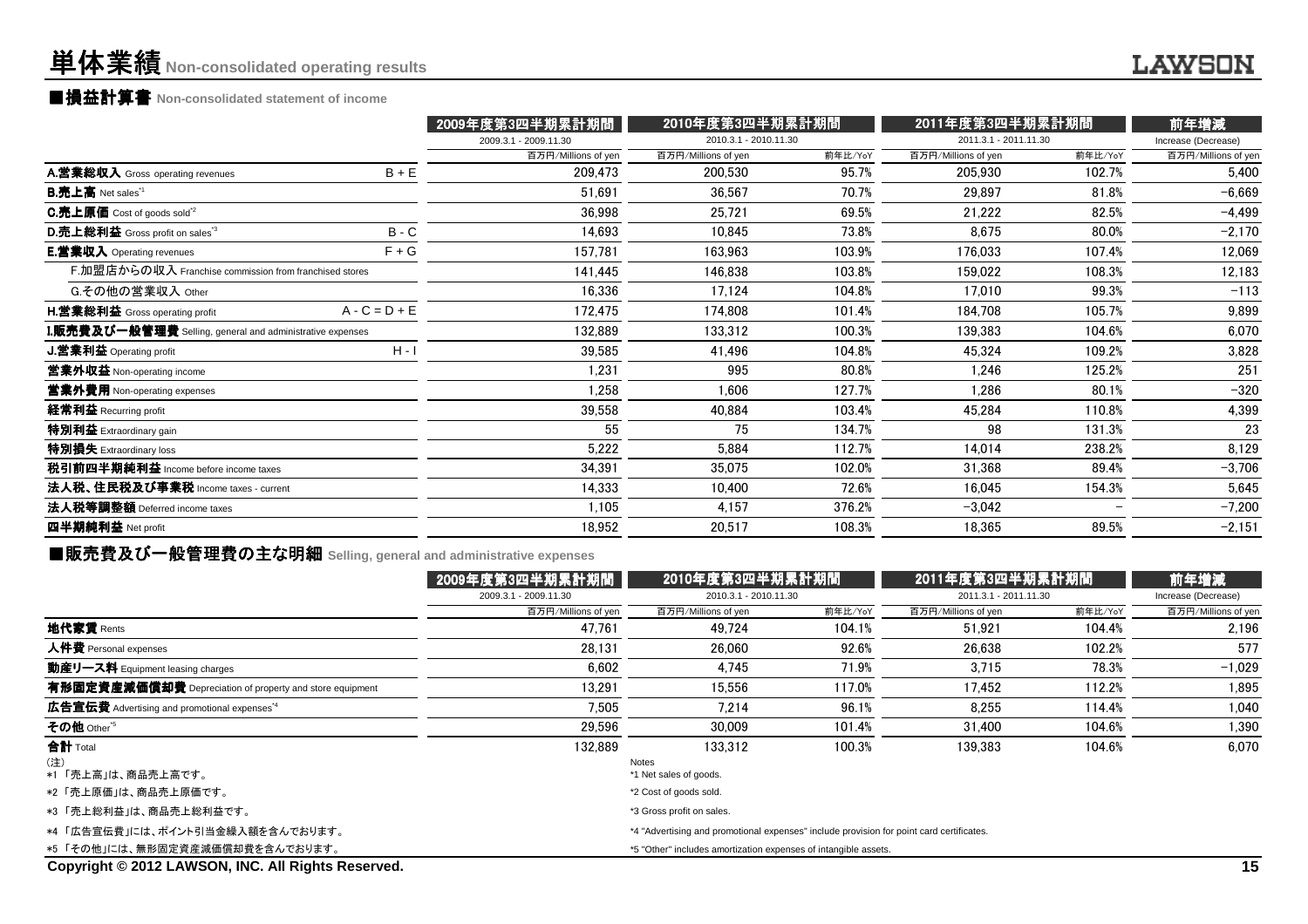### ■損益計算書 Non-consolidated statement of income<br>───────────────────────────────────

|                                                                  |                 | 2009年度第3四半期累計期間       |                       | 2010年度第3四半期累計期間 |                       | 2011年度第3四半期累計期間 | 前年増減                |
|------------------------------------------------------------------|-----------------|-----------------------|-----------------------|-----------------|-----------------------|-----------------|---------------------|
|                                                                  |                 | 2009.3.1 - 2009.11.30 | 2010.3.1 - 2010.11.30 |                 | 2011.3.1 - 2011.11.30 |                 | Increase (Decrease) |
|                                                                  |                 | 百万円/Millions of yen   | 百万円/Millions of yen   | 前年比/YoY         | 百万円/Millions of yen   | 前年比/YoY         | 百万円/Millions of yen |
| A.営業総収入 Gross operating revenues                                 | $B + E$         | 209,473               | 200,530               | 95.7%           | 205,930               | 102.7%          | 5,400               |
| <b>B.売上高</b> Net sales <sup>"1</sup>                             |                 | 51,691                | 36,567                | 70.7%           | 29,897                | 81.8%           | $-6,669$            |
| $C.\bar{\pi}$ 上原価 Cost of goods sold <sup>2</sup>                |                 | 36,998                | 25,721                | 69.5%           | 21,222                | 82.5%           | $-4,499$            |
| D.売上総利益 Gross profit on sales <sup>3</sup>                       | $B - C$         | 14,693                | 10,845                | 73.8%           | 8,675                 | 80.0%           | $-2,170$            |
| <b>E.営業収入</b> Operating revenues                                 | $F + G$         | 157.781               | 163.963               | 103.9%          | 176,033               | 107.4%          | 12,069              |
| F.加盟店からの収入 Franchise commission from franchised stores           |                 | 141,445               | 146,838               | 103.8%          | 159,022               | 108.3%          | 12,183              |
| G.その他の営業収入 Other                                                 |                 | 16.336                | 17.124                | 104.8%          | 17.010                | 99.3%           | $-113$              |
| <b>H.営業総利益</b> Gross operating profit                            | $A - C = D + E$ | 172,475               | 174,808               | 101.4%          | 184,708               | 105.7%          | 9,899               |
| <b>I.販売費及び一般管理費</b> Selling, general and administrative expenses |                 | 132,889               | 133,312               | 100.3%          | 139,383               | 104.6%          | 6,070               |
| <b>J.営業利益 Operating profit</b>                                   | $H - I$         | 39,585                | 41,496                | 104.8%          | 45,324                | 109.2%          | 3,828               |
| 営業外収益 Non-operating income                                       |                 | 1,231                 | 995                   | 80.8%           | 1.246                 | 125.2%          | 251                 |
| 當業外費用 Non-operating expenses                                     |                 | 1,258                 | 1,606                 | 127.7%          | 1,286                 | 80.1%           | $-320$              |
| 経常利益 Recurring profit                                            |                 | 39,558                | 40,884                | 103.4%          | 45,284                | 110.8%          | 4,399               |
| 特別利益 Extraordinary gain                                          |                 | 55                    | 75                    | 134.7%          | 98                    | 131.3%          | 23                  |
| 特別損失 Extraordinary loss                                          |                 | 5,222                 | 5,884                 | 112.7%          | 14.014                | 238.2%          | 8,129               |
| 税引前四半期純利益 Income before income taxes                             |                 | 34,391                | 35,075                | 102.0%          | 31,368                | 89.4%           | $-3,706$            |
| 法人税、住民税及び事業税 Income taxes - current                              |                 | 14,333                | 10.400                | 72.6%           | 16,045                | 154.3%          | 5,645               |
| 法人税等調整額 Deferred income taxes                                    |                 | 1,105                 | 4,157                 | 376.2%          | $-3,042$              |                 | $-7,200$            |
| 四半期純利益 Net profit                                                |                 | 18,952                | 20,517                | 108.3%          | 18,365                | 89.5%           | $-2,151$            |
|                                                                  |                 |                       |                       |                 |                       |                 |                     |

### ■販売費及び一般管理費の主な明細 **Selling, general and administrative expenses**

|                                                          | <b>│2009年度第3四半期累<u>計期間</u>│</b>                                                          | 2010年度第3四半期累計期間           |         |                       | 2011年度第3四半期累計期間 |                     |  |
|----------------------------------------------------------|------------------------------------------------------------------------------------------|---------------------------|---------|-----------------------|-----------------|---------------------|--|
|                                                          | 2009.3.1 - 2009.11.30                                                                    | 2010.3.1 - 2010.11.30     |         | 2011.3.1 - 2011.11.30 |                 | Increase (Decrease) |  |
|                                                          | 百万円/Millions of yen                                                                      | 百万円/Millions of yen       | 前年比/YoY | 百万円/Millions of yen   | 前年比/YoY         | 百万円/Millions of yen |  |
| 地代家賃 Rents                                               | 47,761                                                                                   | 49.724                    | 104.1%  | 51,921                | 104.4%          | 2,196               |  |
| 人件費 Personal expenses                                    | 28.131                                                                                   | 26.060                    | 92.6%   | 26.638                | 102.2%          | 577                 |  |
| 動産リース料 Equipment leasing charges                         | 6.602                                                                                    | 4.745                     | 71.9%   | 3.715                 | 78.3%           | $-1,029$            |  |
| 有形固定資産減価償却費 Depreciation of property and store equipment | 13.291                                                                                   | 15.556                    | 117.0%  | 17.452                | 112.2%          | 1,895               |  |
| 広告宣伝費 Advertising and promotional expenses <sup>*4</sup> | 7.505                                                                                    | 7.214                     | 96.1%   | 8.255                 | 114.4%          | 1.040               |  |
| その他 Other <sup>*5</sup>                                  | 29.596                                                                                   | 30,009                    | 101.4%  | 31,400                | 104.6%          | 1,390               |  |
| 合計 Total                                                 | 132.889                                                                                  | 133.312                   | 100.3%  | 139,383               | 104.6%          | 6.070               |  |
| (注)                                                      |                                                                                          | <b>Notes</b>              |         |                       |                 |                     |  |
| *1 「売上高」は、商品売上高です。                                       |                                                                                          | *1 Net sales of goods.    |         |                       |                 |                     |  |
| *2 「売上原価」は、商品売上原価です。                                     |                                                                                          | *2 Cost of goods sold.    |         |                       |                 |                     |  |
| *3 「売上総利益」は、商品売上総利益です。                                   |                                                                                          | *3 Gross profit on sales. |         |                       |                 |                     |  |
| *4 「広告宣伝費」には、ポイント引当金繰入額を含んでおります。                         | *4 "Advertising and promotional expenses" include provision for point card certificates. |                           |         |                       |                 |                     |  |
| *5 「その他」には、無形固定資産減価償却費を含んでおります。                          | *5 "Other" includes amortization expenses of intangible assets.                          |                           |         |                       |                 |                     |  |
| Copyright © 2012 LAWSON, INC. All Rights Reserved.       |                                                                                          |                           |         |                       |                 | 15                  |  |

#### **Copyright © 2012 LAWSON, INC. All Rights Reserved.**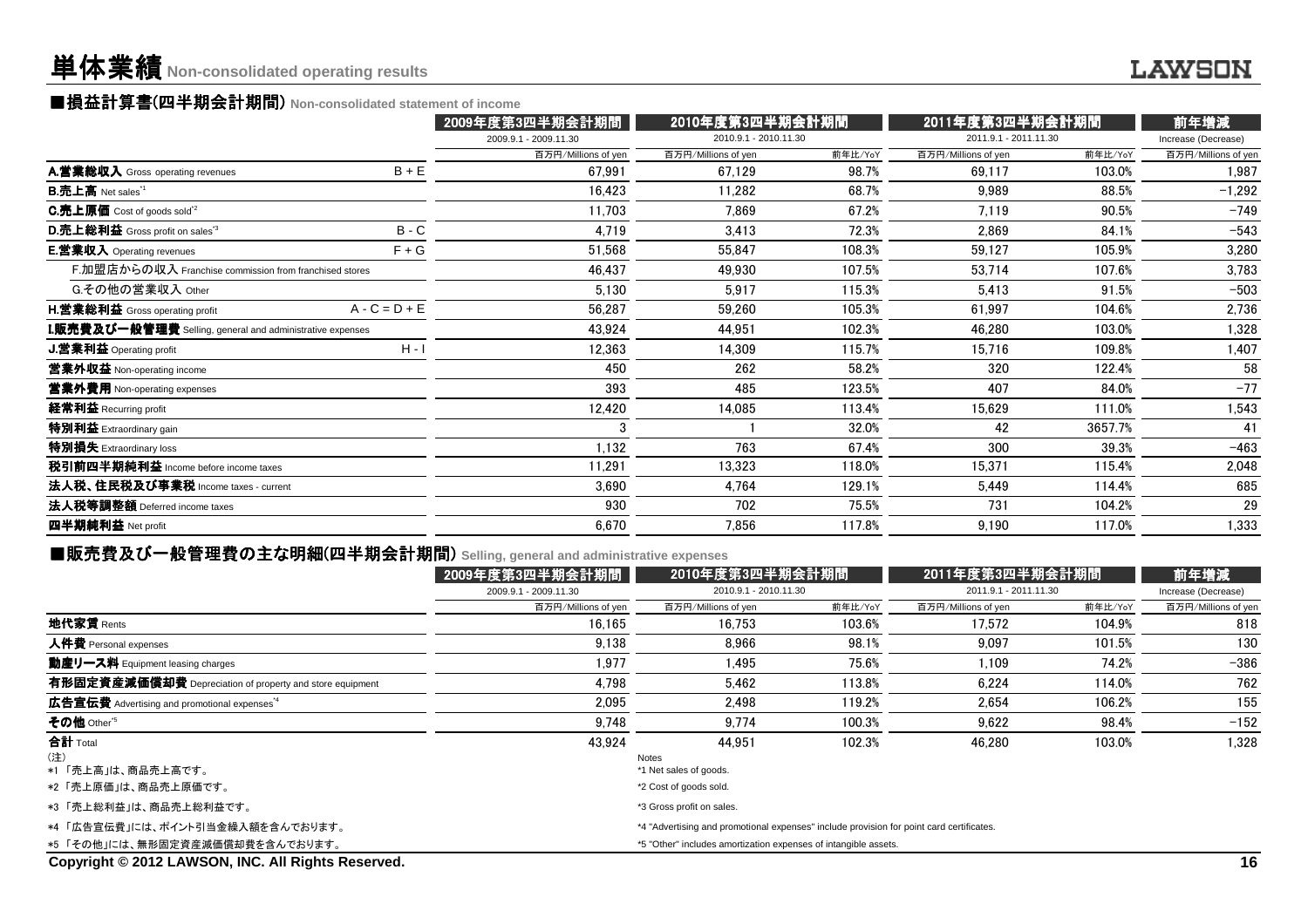### ■損益計算書(四半期会計期間) Non-consolidated statement of income<br><mark>● 2009年度第9</u></mark>

|                                                                  |                 | 2009年度第3四半期会計期間       |                       | 2010年度第3四半期会計期間 |                       | 2011年度第3四半期会計期間 | 前年増減                |  |
|------------------------------------------------------------------|-----------------|-----------------------|-----------------------|-----------------|-----------------------|-----------------|---------------------|--|
|                                                                  |                 | 2009.9.1 - 2009.11.30 | 2010.9.1 - 2010.11.30 |                 | 2011.9.1 - 2011.11.30 |                 | Increase (Decrease) |  |
|                                                                  |                 | 百万円/Millions of yen   | 百万円/Millions of yen   | 前年比/YoY         | 百万円/Millions of yen   | 前年比/YoY         | 百万円/Millions of yen |  |
| A.営業総収入 Gross operating revenues                                 | $B + E$         | 67,991                | 67,129                | 98.7%           | 69,117                | 103.0%          | 1,987               |  |
| <b>B.売上高</b> Net sales <sup>"1</sup>                             |                 | 16,423                | 11,282                | 68.7%           | 9,989                 | 88.5%           | $-1,292$            |  |
| <b>C.売上原価</b> Cost of goods sold <sup>*2</sup>                   |                 | 11,703                | 7.869                 | 67.2%           | 7,119                 | 90.5%           | $-749$              |  |
| D.売上総利益 Gross profit on sales <sup>3</sup>                       | $B - C$         | 4,719                 | 3,413                 | 72.3%           | 2,869                 | 84.1%           | $-543$              |  |
| <b>E.営業収入</b> Operating revenues                                 | $F + G$         | 51,568                | 55,847                | 108.3%          | 59,127                | 105.9%          | 3,280               |  |
| F.加盟店からの収入 Franchise commission from franchised stores           |                 | 46,437                | 49,930                | 107.5%          | 53,714                | 107.6%          | 3,783               |  |
| G.その他の営業収入 Other                                                 |                 | 5,130                 | 5,917                 | 115.3%          | 5,413                 | 91.5%           | $-503$              |  |
| <b>H.営業総利益</b> Gross operating profit                            | $A - C = D + E$ | 56,287                | 59,260                | 105.3%          | 61,997                | 104.6%          | 2,736               |  |
| <b>I.販売費及び一般管理費</b> Selling, general and administrative expenses |                 | 43,924                | 44,951                | 102.3%          | 46,280                | 103.0%          | 1,328               |  |
| <b>J.営業利益</b> Operating profit                                   | $H - I$         | 12,363                | 14,309                | 115.7%          | 15,716                | 109.8%          | 1,407               |  |
| 當業外収益 Non-operating income                                       |                 | 450                   | 262                   | 58.2%           | 320                   | 122.4%          | 58                  |  |
| <b>営業外費用</b> Non-operating expenses                              |                 | 393                   | 485                   | 123.5%          | 407                   | 84.0%           | $-77$               |  |
| 経常利益 Recurring profit                                            |                 | 12,420                | 14,085                | 113.4%          | 15,629                | 111.0%          | 1,543               |  |
| 特別利益 Extraordinary gain                                          |                 | 3                     |                       | 32.0%           | 42                    | 3657.7%         | 41                  |  |
| 特別損失 Extraordinary loss                                          |                 | 1,132                 | 763                   | 67.4%           | 300                   | 39.3%           | $-463$              |  |
| 税引前四半期純利益 Income before income taxes                             |                 | 11,291                | 13,323                | 118.0%          | 15,371                | 115.4%          | 2,048               |  |
| 法人税、住民税及び事業税 Income taxes - current                              |                 | 3,690                 | 4,764                 | 129.1%          | 5,449                 | 114.4%          | 685                 |  |
| 法人税等調整額 Deferred income taxes                                    |                 | 930                   | 702                   | 75.5%           | 731                   | 104.2%          | 29                  |  |
| 四半期純利益 Net profit                                                |                 | 6,670                 | 7,856                 | 117.8%          | 9,190                 | 117.0%          | 1,333               |  |
|                                                                  |                 |                       |                       |                 |                       |                 |                     |  |

### ■販売費及び一般管理費の主な明細(四半期会計期間) selling, general and administrative expenses<br>■ 2010年度

|                                                          | 2009年度第3四半期会計期間       |                                                                                          | 2010年度第3四半期会計期間 |                       | 2011年度第3四半期会計期間 |                     |  |
|----------------------------------------------------------|-----------------------|------------------------------------------------------------------------------------------|-----------------|-----------------------|-----------------|---------------------|--|
|                                                          | 2009.9.1 - 2009.11.30 | 2010.9.1 - 2010.11.30                                                                    |                 | 2011.9.1 - 2011.11.30 |                 | Increase (Decrease) |  |
|                                                          | 百万円/Millions of yen   | 百万円/Millions of yen                                                                      | 前年比/YoY         | 百万円/Millions of yen   | 前年比/YoY         | 百万円/Millions of yen |  |
| 地代家賃 Rents                                               | 16.165                | 16.753                                                                                   | 103.6%          | 17.572                | 104.9%          | 818                 |  |
| 人件費 Personal expenses                                    | 9.138                 | 8.966                                                                                    | 98.1%           | 9.097                 | 101.5%          | 130                 |  |
| 動産リース料 Equipment leasing charges                         | 1.977                 | 1.495                                                                                    | 75.6%           | 1.109                 | 74.2%           | $-386$              |  |
| 有形固定資産減価償却費 Depreciation of property and store equipment | 4.798                 | 5.462                                                                                    | 113.8%          | 6.224                 | 114.0%          | 762                 |  |
| 広告宣伝費 Advertising and promotional expenses <sup>*4</sup> | 2.095                 | 2.498                                                                                    | 119.2%          | 2.654                 | 106.2%          | 155                 |  |
| その他 Other <sup>*5</sup>                                  | 9.748                 | 9.774                                                                                    | 100.3%          | 9.622                 | 98.4%           | $-152$              |  |
| 合計 Total                                                 | 43.924                | 44.951                                                                                   | 102.3%          | 46.280                | 103.0%          | 1.328               |  |
| (注)                                                      |                       | Notes                                                                                    |                 |                       |                 |                     |  |
| *1 「売上高」は、商品売上高です。                                       |                       | *1 Net sales of goods.                                                                   |                 |                       |                 |                     |  |
| *2「売上原価」は、商品売上原価です。                                      |                       | *2 Cost of goods sold.                                                                   |                 |                       |                 |                     |  |
| *3 「売上総利益」は、商品売上総利益です。                                   |                       | *3 Gross profit on sales.                                                                |                 |                       |                 |                     |  |
| *4 「広告宣伝費」には、ポイント引当金繰入額を含んでおります。                         |                       | *4 "Advertising and promotional expenses" include provision for point card certificates. |                 |                       |                 |                     |  |
| *5 「その他」には、無形固定資産減価償却費を含んでおります。                          |                       | *5 "Other" includes amortization expenses of intangible assets.                          |                 |                       |                 |                     |  |

**Copyright © 2012 LAWSON, INC. All Rights Reserved.**

### **LAWSON**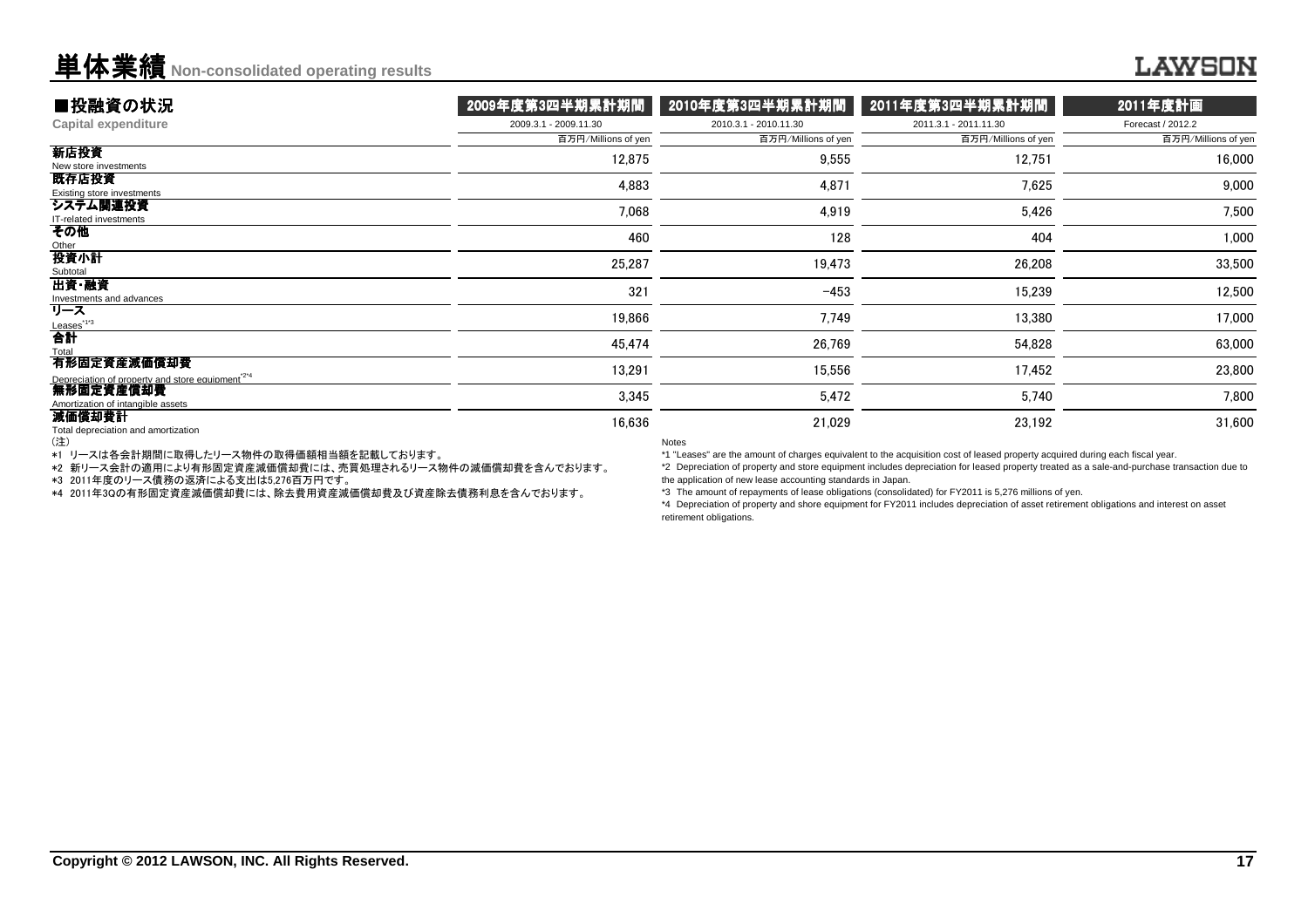### **LAWSON**

| ■投融資の状況                                                                       | 2009年度第3四半期累計期間       | 2010年度第3四半期累計期間         | 2011年度第3四半期累計期間       | 2011年度計画            |
|-------------------------------------------------------------------------------|-----------------------|-------------------------|-----------------------|---------------------|
| <b>Capital expenditure</b>                                                    | 2009.3.1 - 2009.11.30 | 2010.3.1 - 2010.11.30   | 2011.3.1 - 2011.11.30 | Forecast / 2012.2   |
|                                                                               | 百万円/Millions of yen   | 百万円/Millions of yen     | 百万円/Millions of yen   | 百万円/Millions of yen |
| 新店投資<br>New store investments                                                 | 12,875                | 9,555                   | 12,751                | 16,000              |
| 既存店投資<br>Existing store investments                                           | 4,883                 | 4,871                   | 7,625                 | 9,000               |
| システム関連投資<br>IT-related investments                                            | 7,068                 | 4,919                   | 5,426                 | 7,500               |
| その他<br>Other                                                                  | 460                   | 128                     | 404                   | 1,000               |
| 投資小計<br>Subtotal                                                              | 25,287                | 19,473                  | 26,208                | 33,500              |
| 出資·融資<br>Investments and advances                                             | 321                   | $-453$                  | 15,239                | 12,500              |
| リース                                                                           | 19,866                | 7,749                   | 13,380                | 17,000              |
| $\overset{\text{Leases}^{^{173}}}{\textbf{a}^{\text{H}}}$<br>Total            | 45,474                | 26,769                  | 54,828                | 63,000              |
| 有形固定資産減価償却費<br>Depreciation of property and store equipment <sup>224</sup>    | 13,291                | 15,556                  | 17,452                | 23,800              |
| 無形固定資産償却費<br>Amortization of intangible assets                                | 3,345                 | 5,472                   | 5,740                 | 7,800               |
| 減価償却費計<br>Total depreciation and amortization<br>$\left( \frac{1}{2} \right)$ | 16,636                | 21,029<br><b>Nician</b> | 23,192                | 31,600              |

(注)

\*1 リースは各会計期間に取得したリース物件の取得価額相当額を記載しております。

\*2 新リース会計の適用により有形固定資産減価償却費には、売買処理されるリース物件の減価償却費を含んでおります。

\*3 2011年度のリース債務の返済による支出は5,276百万円です。

\*4 2011年3Qの有形固定資産減価償却費には、除去費用資産減価償却費及び資産除去債務利息を含んでおります。

Notes

\*1 "Leases" are the amount of charges equivalent to the acquisition cost of leased property acquired during each fiscal year.

 \*2 Depreciation of property and store equipment includes depreciation for leased property treated as a sale-and-purchase transaction due tothe application of new lease accounting standards in Japan.

\*3 The amount of repayments of lease obligations (consolidated) for FY2011 is 5,276 millions of yen.

\*4 Depreciation of property and shore equipment for FY2011 includes depreciation of asset retirement obligations and interest on asset retirement obligations.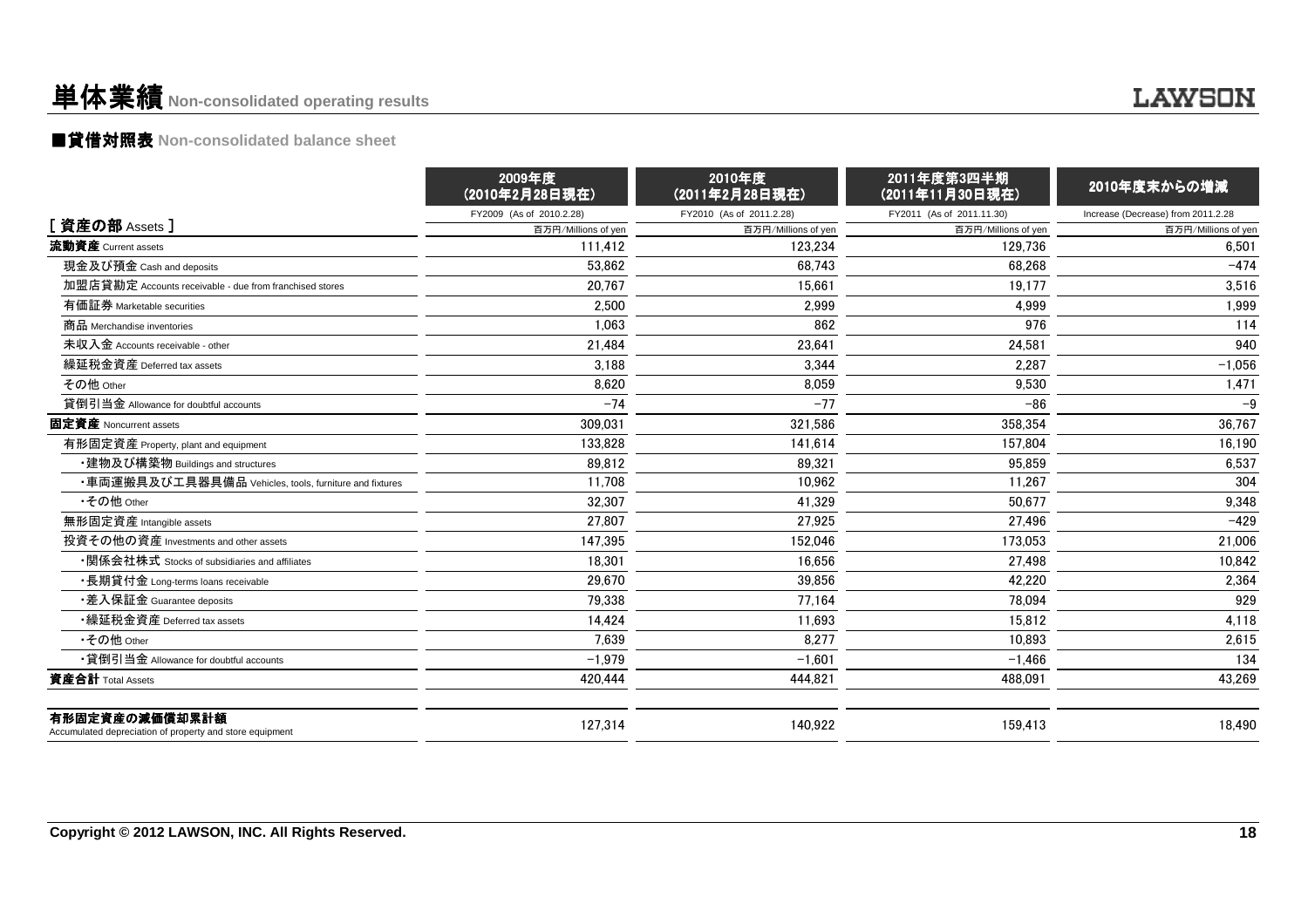### ■貸借対照表 **Non-consolidated balance sheet**

|                                                                            | 2009年度<br>(2010年2月28日現在) | 2010年度<br>(2011年2月28日現在) | 2011年度第3四半期<br>(2011年11月30日現在) | 2010年度末からの増減                       |
|----------------------------------------------------------------------------|--------------------------|--------------------------|--------------------------------|------------------------------------|
|                                                                            | FY2009 (As of 2010.2.28) | FY2010 (As of 2011.2.28) | FY2011 (As of 2011.11.30)      | Increase (Decrease) from 2011.2.28 |
| [ 資産の部 Assets ]                                                            | 百万円/Millions of yen      | 百万円/Millions of yen      | 百万円/Millions of yen            | 百万円/Millions of yen                |
| 流動資産 Current assets                                                        | 111.412                  | 123.234                  | 129.736                        | 6,501                              |
| 現金及び預金 Cash and deposits                                                   | 53,862                   | 68.743                   | 68,268                         | $-474$                             |
| 加盟店貸勘定 Accounts receivable - due from franchised stores                    | 20.767                   | 15.661                   | 19.177                         | 3,516                              |
| 有価証券 Marketable securities                                                 | 2,500                    | 2,999                    | 4,999                          | 1,999                              |
| 商品 Merchandise inventories                                                 | 1,063                    | 862                      | 976                            | 114                                |
| 未収入金 Accounts receivable - other                                           | 21,484                   | 23,641                   | 24,581                         | 940                                |
| 繰延税金資産 Deferred tax assets                                                 | 3,188                    | 3,344                    | 2,287                          | $-1,056$                           |
| その他 Other                                                                  | 8,620                    | 8,059                    | 9,530                          | 1,471                              |
| 貸倒引当金 Allowance for doubtful accounts                                      | $-74$                    | $-77$                    | $-86$                          | $-9$                               |
| 固定資産 Noncurrent assets                                                     | 309.031                  | 321.586                  | 358.354                        | 36.767                             |
| 有形固定資産 Property, plant and equipment                                       | 133,828                  | 141.614                  | 157.804                        | 16,190                             |
| ・建物及び構築物 Buildings and structures                                          | 89,812                   | 89,321                   | 95,859                         | 6,537                              |
| ・車両運搬具及び工具器具備品 Vehicles, tools, furniture and fixtures                     | 11,708                   | 10,962                   | 11,267                         | 304                                |
| •その他 Other                                                                 | 32.307                   | 41.329                   | 50,677                         | 9,348                              |
| 無形固定資産 Intangible assets                                                   | 27,807                   | 27,925                   | 27,496                         | $-429$                             |
| 投資その他の資産 Investments and other assets                                      | 147,395                  | 152,046                  | 173,053                        | 21,006                             |
| ・関係会社株式 Stocks of subsidiaries and affiliates                              | 18,301                   | 16,656                   | 27,498                         | 10,842                             |
| ・長期貸付金 Long-terms loans receivable                                         | 29,670                   | 39,856                   | 42,220                         | 2,364                              |
| •差入保証金 Guarantee deposits                                                  | 79,338                   | 77,164                   | 78,094                         | 929                                |
| •繰延税金資産 Deferred tax assets                                                | 14,424                   | 11,693                   | 15,812                         | 4,118                              |
| •その他 Other                                                                 | 7.639                    | 8.277                    | 10.893                         | 2,615                              |
| •貸倒引当金 Allowance for doubtful accounts                                     | $-1.979$                 | $-1.601$                 | $-1,466$                       | 134                                |
| 資産合計 Total Assets                                                          | 420,444                  | 444,821                  | 488,091                        | 43,269                             |
| 有形固定資産の減価償却累計額<br>Accumulated depreciation of property and store equipment | 127,314                  | 140.922                  | 159.413                        | 18,490                             |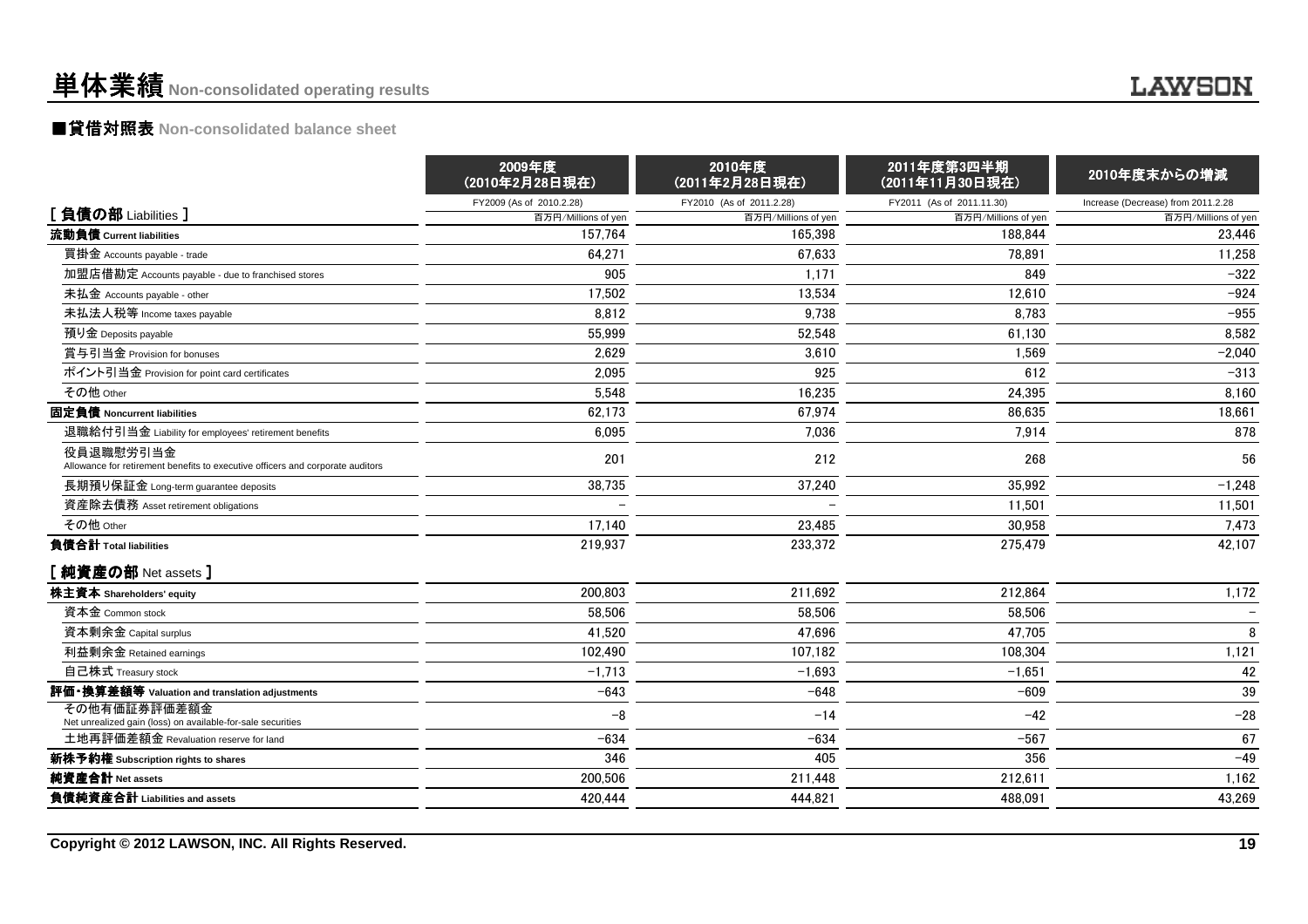### ■貸借対照表 **Non-consolidated balance sheet**

|                                                                                             | 2009年度<br>(2010年2月28日現在) | 2010年度<br>(2011年2月28日現在) | 2011年度第3四半期<br>(2011年11月30日現在) | 2010年度末からの増減                       |
|---------------------------------------------------------------------------------------------|--------------------------|--------------------------|--------------------------------|------------------------------------|
|                                                                                             | FY2009 (As of 2010.2.28) | FY2010 (As of 2011.2.28) | FY2011 (As of 2011.11.30)      | Increase (Decrease) from 2011.2.28 |
| [負債の部 Liabilities ]                                                                         | 百万円/Millions of yen      | 百万円/Millions of yen      | 百万円/Millions of yen            | 百万円/Millions of yen                |
| 流動負債 Current liabilities                                                                    | 157.764                  | 165.398                  | 188.844                        | 23.446                             |
| 買掛金 Accounts payable - trade                                                                | 64,271                   | 67,633                   | 78,891                         | 11,258                             |
| 加盟店借勘定 Accounts payable - due to franchised stores                                          | 905                      | 1,171                    | 849                            | $-322$                             |
| 未払金 Accounts payable - other                                                                | 17,502                   | 13,534                   | 12,610                         | $-924$                             |
| 未払法人税等 Income taxes payable                                                                 | 8.812                    | 9,738                    | 8.783                          | $-955$                             |
| 預り金 Deposits payable                                                                        | 55,999                   | 52,548                   | 61,130                         | 8,582                              |
| 賞与引当金 Provision for bonuses                                                                 | 2,629                    | 3,610                    | 1,569                          | $-2,040$                           |
| ポイント引当金 Provision for point card certificates                                               | 2,095                    | 925                      | 612                            | $-313$                             |
| その他 Other                                                                                   | 5,548                    | 16,235                   | 24,395                         | 8,160                              |
| 固定負債 Noncurrent liabilities                                                                 | 62,173                   | 67,974                   | 86,635                         | 18,661                             |
| 退職給付引当金 Liability for employees' retirement benefits                                        | 6,095                    | 7,036                    | 7,914                          | 878                                |
| 役員退職慰労引当金<br>Allowance for retirement benefits to executive officers and corporate auditors | 201                      | 212                      | 268                            | 56                                 |
| 長期預り保証金 Long-term guarantee deposits                                                        | 38,735                   | 37,240                   | 35.992                         | $-1,248$                           |
| 資産除去債務 Asset retirement obligations                                                         |                          |                          | 11,501                         | 11,501                             |
| その他 Other                                                                                   | 17,140                   | 23,485                   | 30.958                         | 7,473                              |
| 負債合計 Total liabilities                                                                      | 219,937                  | 233,372                  | 275,479                        | 42,107                             |
| [純資産の部 Net assets]                                                                          |                          |                          |                                |                                    |
| 株主資本 Shareholders' equity                                                                   | 200,803                  | 211,692                  | 212,864                        | 1,172                              |
| 資本金 Common stock                                                                            | 58,506                   | 58,506                   | 58,506                         |                                    |
| 資本剰余金 Capital surplus                                                                       | 41,520                   | 47,696                   | 47,705                         | 8                                  |
| 利益剰余金 Retained earnings                                                                     | 102,490                  | 107.182                  | 108,304                        | 1,121                              |
| 自己株式 Treasury stock                                                                         | $-1,713$                 | $-1,693$                 | $-1,651$                       | 42                                 |
| 評価・換算差額等 Valuation and translation adjustments                                              | $-643$                   | $-648$                   | $-609$                         | 39                                 |
| その他有価証券評価差額金<br>Net unrealized gain (loss) on available-for-sale securities                 | $-8$                     | $-14$                    | $-42$                          | $-28$                              |
| 土地再評価差額金 Revaluation reserve for land                                                       | $-634$                   | $-634$                   | $-567$                         | 67                                 |
| 新株予約権 Subscription rights to shares                                                         | 346                      | 405                      | 356                            | $-49$                              |
| 純資産合計 Net assets                                                                            | 200,506                  | 211,448                  | 212,611                        | 1,162                              |
| 負債純資産合計 Liabilities and assets                                                              | 420.444                  | 444.821                  | 488.091                        | 43,269                             |